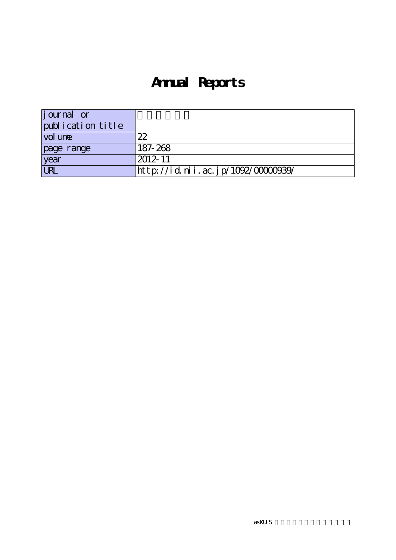# **Annual Reports**

| <i>j</i> ournal or |                                   |
|--------------------|-----------------------------------|
| publication title  |                                   |
| vol une            | 22                                |
| page range         | 187-268                           |
| year               | 2012-11                           |
| URL                | http://id.nii.ac.jp/1092/0000039/ |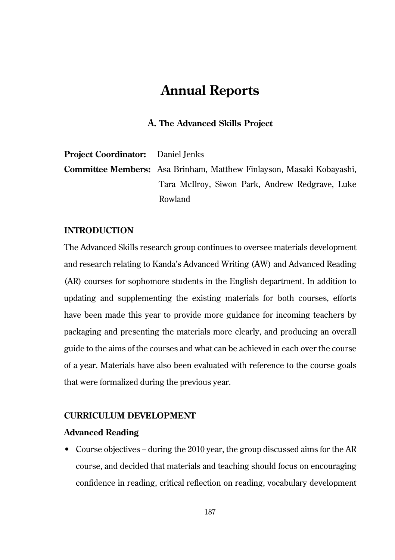# **Annual Reports**

# **A. The Advanced Skills Project**

| <b>Project Coordinator:</b> Daniel Jenks |                                                                             |
|------------------------------------------|-----------------------------------------------------------------------------|
|                                          | <b>Committee Members:</b> Asa Brinham, Matthew Finlayson, Masaki Kobayashi, |
|                                          | Tara McIlroy, Siwon Park, Andrew Redgrave, Luke                             |
|                                          | Rowland                                                                     |

# **INTRODUCTION**

The Advanced Skills research group continues to oversee materials development and research relating to Kanda's Advanced Writing (AW) and Advanced Reading (AR) courses for sophomore students in the English department. In addition to updating and supplementing the existing materials for both courses, efforts have been made this year to provide more guidance for incoming teachers by packaging and presenting the materials more clearly, and producing an overall guide to the aims of the courses and what can be achieved in each over the course of a year. Materials have also been evaluated with reference to the course goals that were formalized during the previous year.

# **CURRICULUM DEVELOPMENT**

# **Advanced Reading**

• Course objectives – during the 2010 year, the group discussed aims for the AR course, and decided that materials and teaching should focus on encouraging confidence in reading, critical reflection on reading, vocabulary development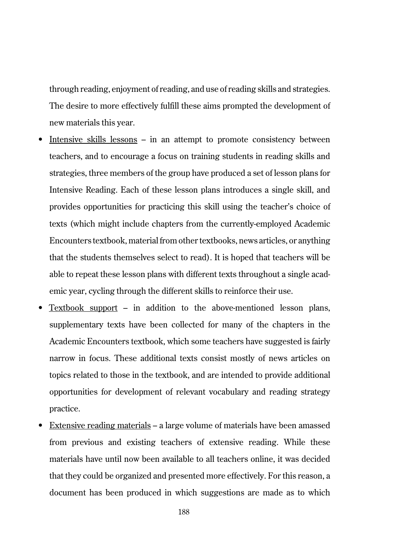through reading, enjoyment of reading, and use of reading skills and strategies. The desire to more effectively fulfill these aims prompted the development of new materials this year.

- Intensive skills lessons in an attempt to promote consistency between teachers, and to encourage a focus on training students in reading skills and strategies, three members of the group have produced a set of lesson plans for Intensive Reading. Each of these lesson plans introduces a single skill, and provides opportunities for practicing this skill using the teacher's choice of texts (which might include chapters from the currently-employed Academic Encounters textbook, material from other textbooks, news articles, or anything that the students themselves select to read). It is hoped that teachers will be able to repeat these lesson plans with different texts throughout a single academic year, cycling through the different skills to reinforce their use.
- Textbook support in addition to the above-mentioned lesson plans, supplementary texts have been collected for many of the chapters in the Academic Encounters textbook, which some teachers have suggested is fairly narrow in focus. These additional texts consist mostly of news articles on topics related to those in the textbook, and are intended to provide additional opportunities for development of relevant vocabulary and reading strategy practice.
- Extensive reading materials a large volume of materials have been amassed from previous and existing teachers of extensive reading. While these materials have until now been available to all teachers online, it was decided that they could be organized and presented more effectively. For this reason, a document has been produced in which suggestions are made as to which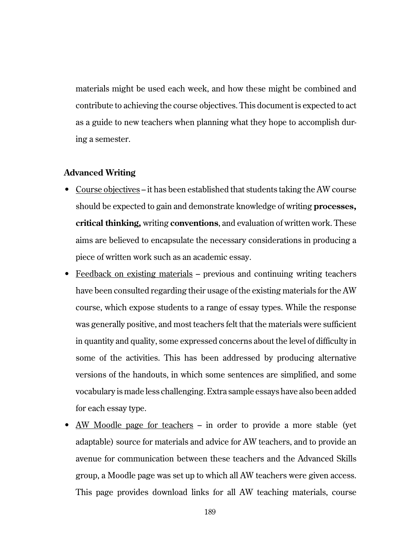materials might be used each week, and how these might be combined and contribute to achieving the course objectives. This document is expected to act as a guide to new teachers when planning what they hope to accomplish during a semester.

### **Advanced Writing**

- Course objectives it has been established that students taking the AW course should be expected to gain and demonstrate knowledge of writing **processes, critical thinking,** writing **conventions**, and evaluation of written work. These aims are believed to encapsulate the necessary considerations in producing a piece of written work such as an academic essay.
- Feedback on existing materials previous and continuing writing teachers have been consulted regarding their usage of the existing materials for the AW course, which expose students to a range of essay types. While the response was generally positive, and most teachers felt that the materials were sufficient in quantity and quality, some expressed concerns about the level of difficulty in some of the activities. This has been addressed by producing alternative versions of the handouts, in which some sentences are simplified, and some vocabulary is made less challenging. Extra sample essays have also been added for each essay type.
- AW Moodle page for teachers in order to provide a more stable (yet adaptable) source for materials and advice for AW teachers, and to provide an avenue for communication between these teachers and the Advanced Skills group, a Moodle page was set up to which all AW teachers were given access. This page provides download links for all AW teaching materials, course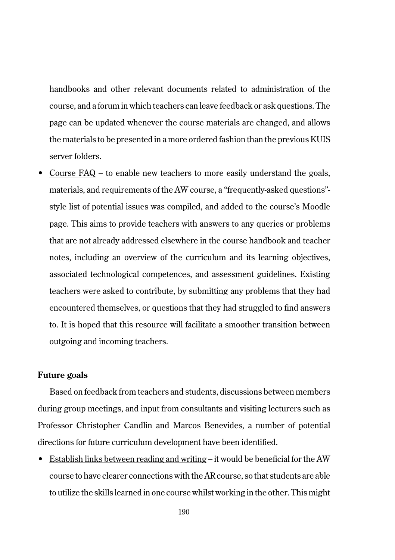handbooks and other relevant documents related to administration of the course, and a forum in which teachers can leave feedback or ask questions. The page can be updated whenever the course materials are changed, and allows the materials to be presented in a more ordered fashion than the previous KUIS server folders.

• Course FAQ – to enable new teachers to more easily understand the goals, materials, and requirements of the AW course, a "frequently-asked questions" style list of potential issues was compiled, and added to the course's Moodle page. This aims to provide teachers with answers to any queries or problems that are not already addressed elsewhere in the course handbook and teacher notes, including an overview of the curriculum and its learning objectives, associated technological competences, and assessment guidelines. Existing teachers were asked to contribute, by submitting any problems that they had encountered themselves, or questions that they had struggled to find answers to. It is hoped that this resource will facilitate a smoother transition between outgoing and incoming teachers.

### **Future goals**

Based on feedback from teachers and students, discussions between members during group meetings, and input from consultants and visiting lecturers such as Professor Christopher Candlin and Marcos Benevides, a number of potential directions for future curriculum development have been identified.

• Establish links between reading and writing – it would be beneficial for the AW course to have clearer connections with the AR course, so that students are able to utilize the skills learned in one course whilst working in the other. This might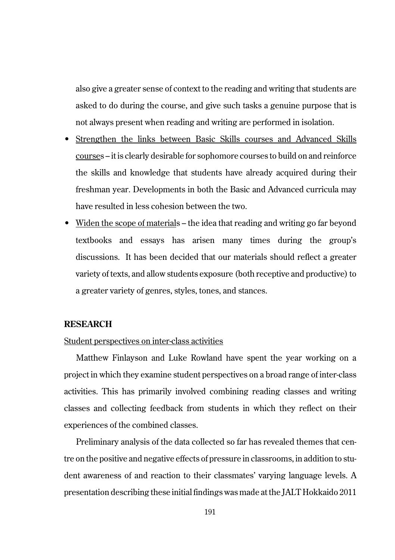also give a greater sense of context to the reading and writing that students are asked to do during the course, and give such tasks a genuine purpose that is not always present when reading and writing are performed in isolation.

- Strengthen the links between Basic Skills courses and Advanced Skills courses – it is clearly desirable for sophomore courses to build on and reinforce the skills and knowledge that students have already acquired during their freshman year. Developments in both the Basic and Advanced curricula may have resulted in less cohesion between the two.
- Widen the scope of materials the idea that reading and writing go far beyond textbooks and essays has arisen many times during the group's discussions. It has been decided that our materials should reflect a greater variety of texts, and allow students exposure (both receptive and productive) to a greater variety of genres, styles, tones, and stances.

# **RESEARCH**

# Student perspectives on inter-class activities

Matthew Finlayson and Luke Rowland have spent the year working on a project in which they examine student perspectives on a broad range of inter-class activities. This has primarily involved combining reading classes and writing classes and collecting feedback from students in which they reflect on their experiences of the combined classes.

Preliminary analysis of the data collected so far has revealed themes that centre on the positive and negative effects of pressure in classrooms, in addition to student awareness of and reaction to their classmates' varying language levels. A presentation describing these initial findings was made at the JALT Hokkaido 2011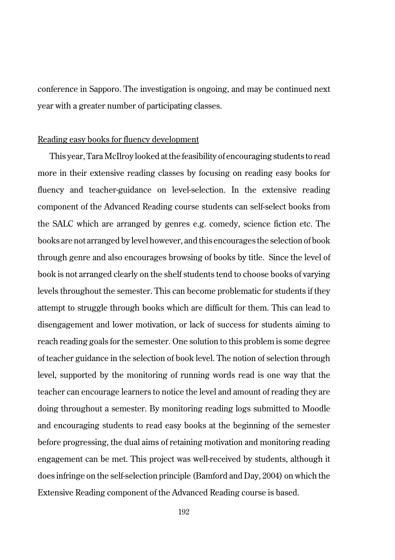conference in Sapporo. The investigation is ongoing, and may be continued next year with a greater number of participating classes.

# Reading easy books for fluency development

This year, Tara McIlroy looked at the feasibility of encouraging students to read more in their extensive reading classes by focusing on reading easy books for fluency and teacher-guidance on level-selection. In the extensive reading component of the Advanced Reading course students can self-select books from the SALC which are arranged by genres e.g. comedy, science fiction etc. The books are not arranged by level however, and this encourages the selection of book through genre and also encourages browsing of books by title. Since the level of book is not arranged clearly on the shelf students tend to choose books of varying levels throughout the semester. This can become problematic for students if they attempt to struggle through books which are difficult for them. This can lead to disengagement and lower motivation, or lack of success for students aiming to reach reading goals for the semester. One solution to this problem is some degree of teacher guidance in the selection of book level. The notion of selection through level, supported by the monitoring of running words read is one way that the teacher can encourage learners to notice the level and amount of reading they are doing throughout a semester. By monitoring reading logs submitted to Moodle and encouraging students to read easy books at the beginning of the semester before progressing, the dual aims of retaining motivation and monitoring reading engagement can be met. This project was well-received by students, although it does infringe on the self-selection principle (Bamford and Day, 2004) on which the Extensive Reading component of the Advanced Reading course is based.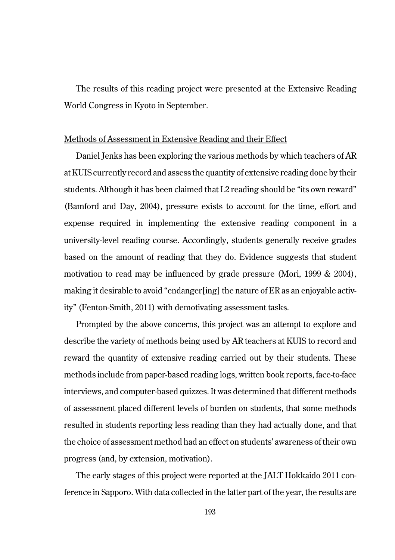The results of this reading project were presented at the Extensive Reading World Congress in Kyoto in September.

# Methods of Assessment in Extensive Reading and their Effect

Daniel Jenks has been exploring the various methods by which teachers of AR at KUIS currently record and assess the quantity of extensive reading done by their students. Although it has been claimed that L2 reading should be "its own reward" (Bamford and Day, 2004), pressure exists to account for the time, effort and expense required in implementing the extensive reading component in a university-level reading course. Accordingly, students generally receive grades based on the amount of reading that they do. Evidence suggests that student motivation to read may be influenced by grade pressure (Mori, 1999 & 2004), making it desirable to avoid "endanger[ing] the nature of ER as an enjoyable activity" (Fenton-Smith, 2011) with demotivating assessment tasks.

Prompted by the above concerns, this project was an attempt to explore and describe the variety of methods being used by AR teachers at KUIS to record and reward the quantity of extensive reading carried out by their students. These methods include from paper-based reading logs, written book reports, face-to-face interviews, and computer-based quizzes. It was determined that different methods of assessment placed different levels of burden on students, that some methods resulted in students reporting less reading than they had actually done, and that the choice of assessment method had an effect on students' awareness of their own progress (and, by extension, motivation).

The early stages of this project were reported at the JALT Hokkaido 2011 conference in Sapporo. With data collected in the latter part of the year, the results are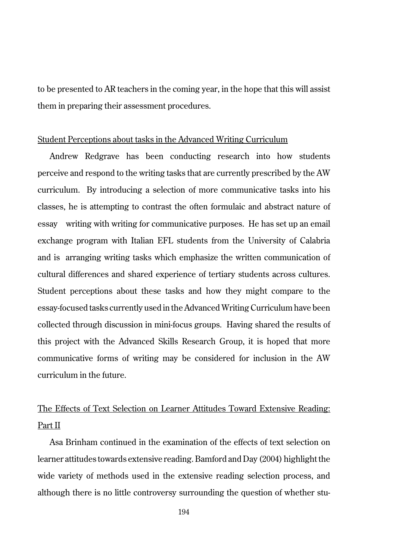to be presented to AR teachers in the coming year, in the hope that this will assist them in preparing their assessment procedures.

### Student Perceptions about tasks in the Advanced Writing Curriculum

Andrew Redgrave has been conducting research into how students perceive and respond to the writing tasks that are currently prescribed by the AW curriculum. By introducing a selection of more communicative tasks into his classes, he is attempting to contrast the often formulaic and abstract nature of essay writing with writing for communicative purposes. He has set up an email exchange program with Italian EFL students from the University of Calabria and is arranging writing tasks which emphasize the written communication of cultural differences and shared experience of tertiary students across cultures. Student perceptions about these tasks and how they might compare to the essay-focused tasks currently used in the Advanced Writing Curriculum have been collected through discussion in mini-focus groups. Having shared the results of this project with the Advanced Skills Research Group, it is hoped that more communicative forms of writing may be considered for inclusion in the AW curriculum in the future.

# The Effects of Text Selection on Learner Attitudes Toward Extensive Reading: Part II

Asa Brinham continued in the examination of the effects of text selection on learner attitudes towards extensive reading. Bamford and Day (2004) highlight the wide variety of methods used in the extensive reading selection process, and although there is no little controversy surrounding the question of whether stu-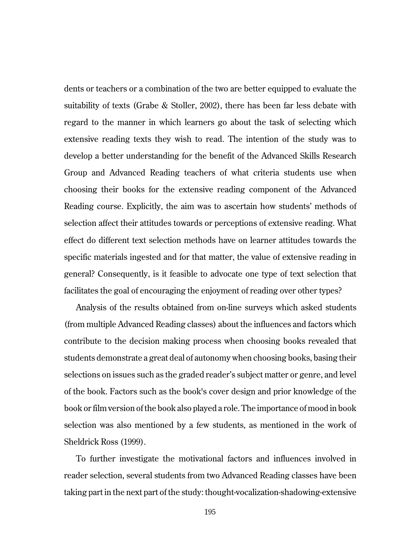dents or teachers or a combination of the two are better equipped to evaluate the suitability of texts (Grabe & Stoller, 2002), there has been far less debate with regard to the manner in which learners go about the task of selecting which extensive reading texts they wish to read. The intention of the study was to develop a better understanding for the benefit of the Advanced Skills Research Group and Advanced Reading teachers of what criteria students use when choosing their books for the extensive reading component of the Advanced Reading course. Explicitly, the aim was to ascertain how students' methods of selection affect their attitudes towards or perceptions of extensive reading. What effect do different text selection methods have on learner attitudes towards the specific materials ingested and for that matter, the value of extensive reading in general? Consequently, is it feasible to advocate one type of text selection that facilitates the goal of encouraging the enjoyment of reading over other types?

Analysis of the results obtained from on-line surveys which asked students (from multiple Advanced Reading classes) about the influences and factors which contribute to the decision making process when choosing books revealed that students demonstrate a great deal of autonomy when choosing books, basing their selections on issues such as the graded reader's subject matter or genre, and level of the book. Factors such as the book's cover design and prior knowledge of the book or film version of the book also played a role. The importance of mood in book selection was also mentioned by a few students, as mentioned in the work of Sheldrick Ross (1999).

To further investigate the motivational factors and influences involved in reader selection, several students from two Advanced Reading classes have been taking part in the next part of the study: thought-vocalization-shadowing-extensive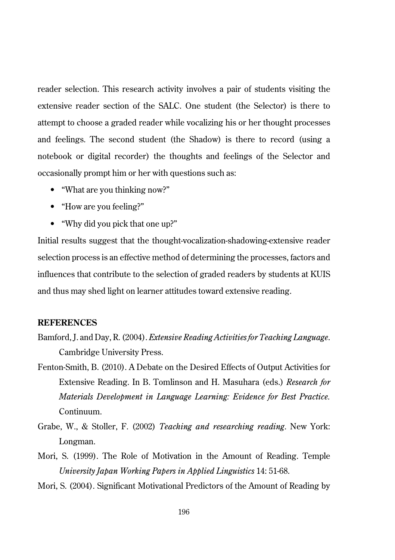reader selection. This research activity involves a pair of students visiting the extensive reader section of the SALC. One student (the Selector) is there to attempt to choose a graded reader while vocalizing his or her thought processes and feelings. The second student (the Shadow) is there to record (using a notebook or digital recorder) the thoughts and feelings of the Selector and occasionally prompt him or her with questions such as:

- "What are you thinking now?"
- "How are you feeling?"
- "Why did you pick that one up?"

Initial results suggest that the thought-vocalization-shadowing-extensive reader selection process is an effective method of determining the processes, factors and influences that contribute to the selection of graded readers by students at KUIS and thus may shed light on learner attitudes toward extensive reading.

### **REFERENCES**

- Bamford, J. and Day, R. (2004). *Extensive Reading Activities for Teaching Language*. Cambridge University Press.
- Fenton-Smith, B. (2010). A Debate on the Desired Effects of Output Activities for Extensive Reading. In B. Tomlinson and H. Masuhara (eds.) *Research for Materials Development in Language Learning: Evidence for Best Practice.* Continuum.
- Grabe, W., & Stoller, F. (2002) *Teaching and researching reading*. New York: Longman.
- Mori, S. (1999). The Role of Motivation in the Amount of Reading. Temple *University Japan Working Papers in Applied Linguistics* 14: 51-68.
- Mori, S. (2004). Significant Motivational Predictors of the Amount of Reading by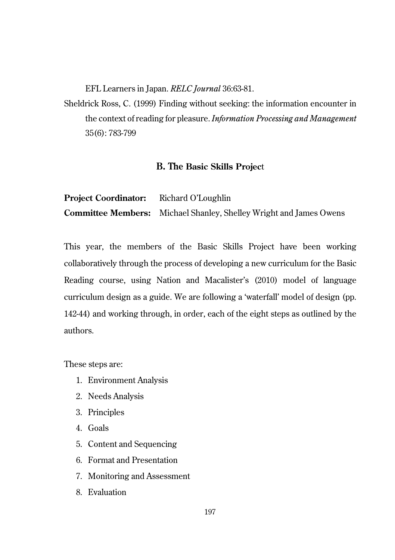EFL Learners in Japan. *RELC Journal* 36:63-81.

Sheldrick Ross, C. (1999) Finding without seeking: the information encounter in the context of reading for pleasure. *Information Processing and Management* 35(6): 783-799

# **B. The Basic Skills Projec**t

**Project Coordinator:** Richard O'Loughlin **Committee Members:** Michael Shanley, Shelley Wright and James Owens

This year, the members of the Basic Skills Project have been working collaboratively through the process of developing a new curriculum for the Basic Reading course, using Nation and Macalister's (2010) model of language curriculum design as a guide. We are following a 'waterfall' model of design (pp. 142-44) and working through, in order, each of the eight steps as outlined by the authors.

These steps are:

- 1. Environment Analysis
- 2. Needs Analysis
- 3. Principles
- 4. Goals
- 5. Content and Sequencing
- 6. Format and Presentation
- 7. Monitoring and Assessment
- 8. Evaluation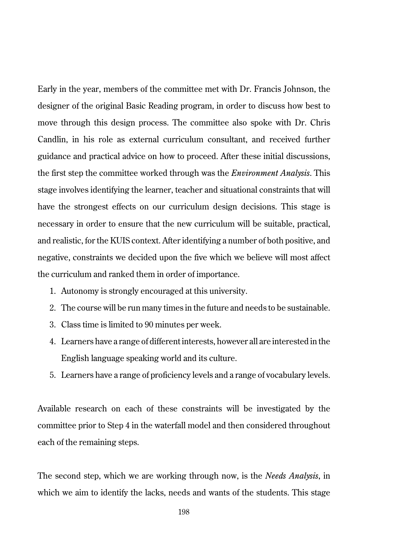Early in the year, members of the committee met with Dr. Francis Johnson, the designer of the original Basic Reading program, in order to discuss how best to move through this design process. The committee also spoke with Dr. Chris Candlin, in his role as external curriculum consultant, and received further guidance and practical advice on how to proceed. After these initial discussions, the first step the committee worked through was the *Environment Analysis*. This stage involves identifying the learner, teacher and situational constraints that will have the strongest effects on our curriculum design decisions. This stage is necessary in order to ensure that the new curriculum will be suitable, practical, and realistic, for the KUIS context. After identifying a number of both positive, and negative, constraints we decided upon the five which we believe will most affect the curriculum and ranked them in order of importance.

- 1. Autonomy is strongly encouraged at this university.
- 2. The course will be run many times in the future and needs to be sustainable.
- 3. Class time is limited to 90 minutes per week.
- 4. Learners have a range of different interests, however all are interested in the English language speaking world and its culture.
- 5. Learners have a range of proficiency levels and a range of vocabulary levels.

Available research on each of these constraints will be investigated by the committee prior to Step 4 in the waterfall model and then considered throughout each of the remaining steps.

The second step, which we are working through now, is the *Needs Analysis*, in which we aim to identify the lacks, needs and wants of the students. This stage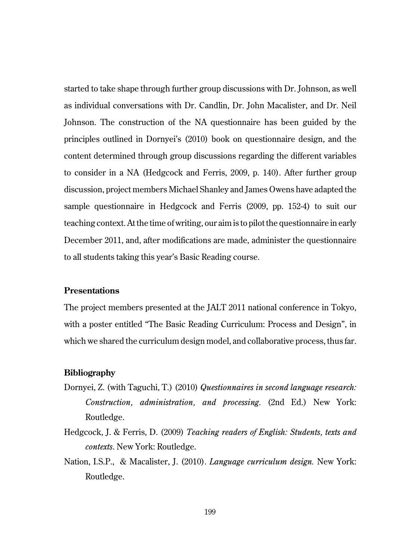started to take shape through further group discussions with Dr. Johnson, as well as individual conversations with Dr. Candlin, Dr. John Macalister, and Dr. Neil Johnson. The construction of the NA questionnaire has been guided by the principles outlined in Dornyei's (2010) book on questionnaire design, and the content determined through group discussions regarding the different variables to consider in a NA (Hedgcock and Ferris, 2009, p. 140). After further group discussion, project members Michael Shanley and James Owens have adapted the sample questionnaire in Hedgcock and Ferris (2009, pp. 152-4) to suit our teaching context. At the time of writing, our aim is to pilot the questionnaire in early December 2011, and, after modifications are made, administer the questionnaire to all students taking this year's Basic Reading course.

### **Presentations**

The project members presented at the JALT 2011 national conference in Tokyo, with a poster entitled "The Basic Reading Curriculum: Process and Design", in which we shared the curriculum design model, and collaborative process, thus far.

### **Bibliography**

- Dornyei, Z. (with Taguchi, T.) (2010) *Questionnaires in second language research: Construction, administration, and processing*. (2nd Ed.) New York: Routledge.
- Hedgcock, J. & Ferris, D. (2009) *Teaching readers of English: Students, texts and contexts*. New York: Routledge.
- Nation, I.S.P., & Macalister, J. (2010). *Language curriculum design.* New York: Routledge.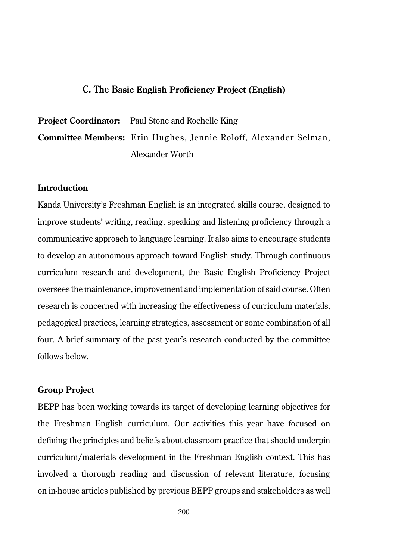### **C. The Basic English Proficiency Project (English)**

**Project Coordinator:** Paul Stone and Rochelle King **Committee Members:** Erin Hughes, Jennie Roloff, Alexander Selman, Alexander Worth

# **Introduction**

Kanda University's Freshman English is an integrated skills course, designed to improve students' writing, reading, speaking and listening proficiency through a communicative approach to language learning. It also aims to encourage students to develop an autonomous approach toward English study. Through continuous curriculum research and development, the Basic English Proficiency Project oversees the maintenance, improvement and implementation of said course. Often research is concerned with increasing the effectiveness of curriculum materials, pedagogical practices, learning strategies, assessment or some combination of all four. A brief summary of the past year's research conducted by the committee follows below.

### **Group Project**

BEPP has been working towards its target of developing learning objectives for the Freshman English curriculum. Our activities this year have focused on defining the principles and beliefs about classroom practice that should underpin curriculum/materials development in the Freshman English context. This has involved a thorough reading and discussion of relevant literature, focusing on in-house articles published by previous BEPP groups and stakeholders as well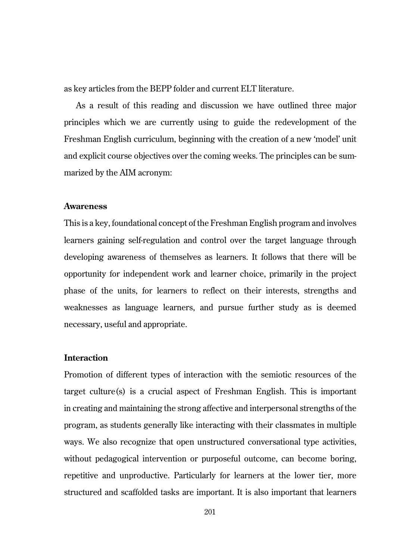as key articles from the BEPP folder and current ELT literature.

As a result of this reading and discussion we have outlined three major principles which we are currently using to guide the redevelopment of the Freshman English curriculum, beginning with the creation of a new 'model' unit and explicit course objectives over the coming weeks. The principles can be summarized by the AIM acronym:

### **Awareness**

This is a key, foundational concept of the Freshman English program and involves learners gaining self-regulation and control over the target language through developing awareness of themselves as learners. It follows that there will be opportunity for independent work and learner choice, primarily in the project phase of the units, for learners to reflect on their interests, strengths and weaknesses as language learners, and pursue further study as is deemed necessary, useful and appropriate.

# **Interaction**

Promotion of different types of interaction with the semiotic resources of the target culture(s) is a crucial aspect of Freshman English. This is important in creating and maintaining the strong affective and interpersonal strengths of the program, as students generally like interacting with their classmates in multiple ways. We also recognize that open unstructured conversational type activities, without pedagogical intervention or purposeful outcome, can become boring, repetitive and unproductive. Particularly for learners at the lower tier, more structured and scaffolded tasks are important. It is also important that learners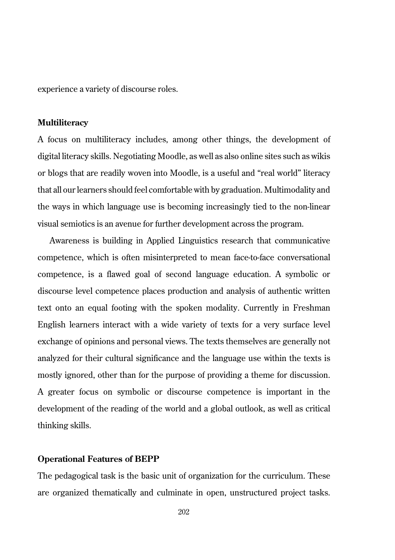experience a variety of discourse roles.

### **Multiliteracy**

A focus on multiliteracy includes, among other things, the development of digital literacy skills. Negotiating Moodle, as well as also online sites such as wikis or blogs that are readily woven into Moodle, is a useful and "real world" literacy that all our learners should feel comfortable with by graduation. Multimodality and the ways in which language use is becoming increasingly tied to the non-linear visual semiotics is an avenue for further development across the program.

Awareness is building in Applied Linguistics research that communicative competence, which is often misinterpreted to mean face-to-face conversational competence, is a flawed goal of second language education. A symbolic or discourse level competence places production and analysis of authentic written text onto an equal footing with the spoken modality. Currently in Freshman English learners interact with a wide variety of texts for a very surface level exchange of opinions and personal views. The texts themselves are generally not analyzed for their cultural significance and the language use within the texts is mostly ignored, other than for the purpose of providing a theme for discussion. A greater focus on symbolic or discourse competence is important in the development of the reading of the world and a global outlook, as well as critical thinking skills.

### **Operational Features of BEPP**

The pedagogical task is the basic unit of organization for the curriculum. These are organized thematically and culminate in open, unstructured project tasks.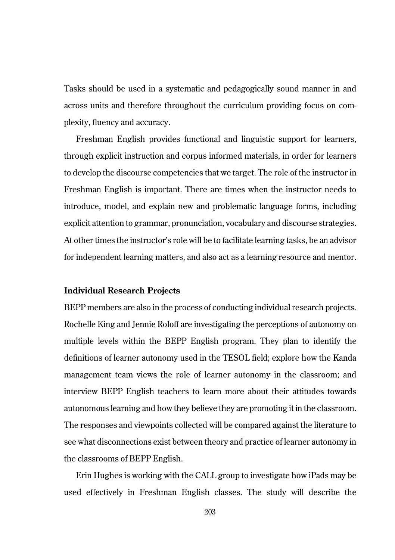Tasks should be used in a systematic and pedagogically sound manner in and across units and therefore throughout the curriculum providing focus on complexity, fluency and accuracy.

Freshman English provides functional and linguistic support for learners, through explicit instruction and corpus informed materials, in order for learners to develop the discourse competencies that we target. The role of the instructor in Freshman English is important. There are times when the instructor needs to introduce, model, and explain new and problematic language forms, including explicit attention to grammar, pronunciation, vocabulary and discourse strategies. At other times the instructor's role will be to facilitate learning tasks, be an advisor for independent learning matters, and also act as a learning resource and mentor.

### **Individual Research Projects**

BEPP members are also in the process of conducting individual research projects. Rochelle King and Jennie Roloff are investigating the perceptions of autonomy on multiple levels within the BEPP English program. They plan to identify the definitions of learner autonomy used in the TESOL field; explore how the Kanda management team views the role of learner autonomy in the classroom; and interview BEPP English teachers to learn more about their attitudes towards autonomous learning and how they believe they are promoting it in the classroom. The responses and viewpoints collected will be compared against the literature to see what disconnections exist between theory and practice of learner autonomy in the classrooms of BEPP English.

Erin Hughes is working with the CALL group to investigate how iPads may be used effectively in Freshman English classes. The study will describe the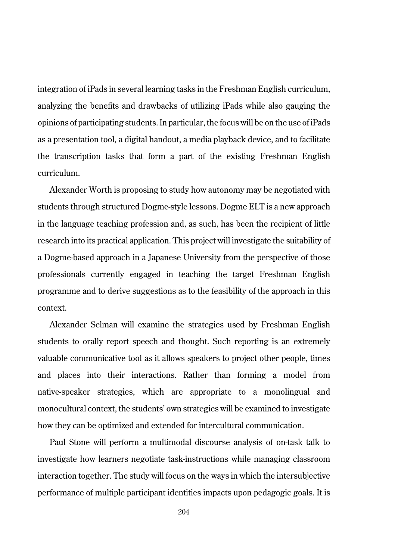integration of iPads in several learning tasks in the Freshman English curriculum, analyzing the benefits and drawbacks of utilizing iPads while also gauging the opinions of participating students. In particular, the focus will be on the use of iPads as a presentation tool, a digital handout, a media playback device, and to facilitate the transcription tasks that form a part of the existing Freshman English curriculum.

Alexander Worth is proposing to study how autonomy may be negotiated with students through structured Dogme-style lessons. Dogme ELT is a new approach in the language teaching profession and, as such, has been the recipient of little research into its practical application. This project will investigate the suitability of a Dogme-based approach in a Japanese University from the perspective of those professionals currently engaged in teaching the target Freshman English programme and to derive suggestions as to the feasibility of the approach in this context.

Alexander Selman will examine the strategies used by Freshman English students to orally report speech and thought. Such reporting is an extremely valuable communicative tool as it allows speakers to project other people, times and places into their interactions. Rather than forming a model from native-speaker strategies, which are appropriate to a monolingual and monocultural context, the students' own strategies will be examined to investigate how they can be optimized and extended for intercultural communication.

Paul Stone will perform a multimodal discourse analysis of on-task talk to investigate how learners negotiate task-instructions while managing classroom interaction together. The study will focus on the ways in which the intersubjective performance of multiple participant identities impacts upon pedagogic goals. It is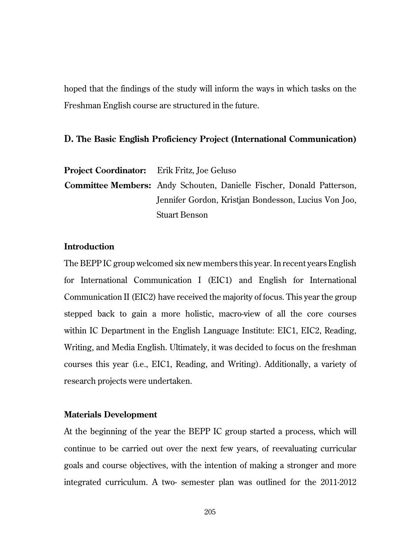hoped that the findings of the study will inform the ways in which tasks on the Freshman English course are structured in the future.

# **D. The Basic English Proficiency Project (International Communication)**

**Project Coordinator:** Erik Fritz, Joe Geluso **Committee Members:** Andy Schouten, Danielle Fischer, Donald Patterson, Jennifer Gordon, Kristjan Bondesson, Lucius Von Joo, Stuart Benson

# **Introduction**

The BEPP IC group welcomed six new members this year. In recent years English for International Communication I (EIC1) and English for International Communication II (EIC2) have received the majority of focus. This year the group stepped back to gain a more holistic, macro-view of all the core courses within IC Department in the English Language Institute: EIC1, EIC2, Reading, Writing, and Media English. Ultimately, it was decided to focus on the freshman courses this year (i.e., EIC1, Reading, and Writing). Additionally, a variety of research projects were undertaken.

# **Materials Development**

At the beginning of the year the BEPP IC group started a process, which will continue to be carried out over the next few years, of reevaluating curricular goals and course objectives, with the intention of making a stronger and more integrated curriculum. A two- semester plan was outlined for the 2011-2012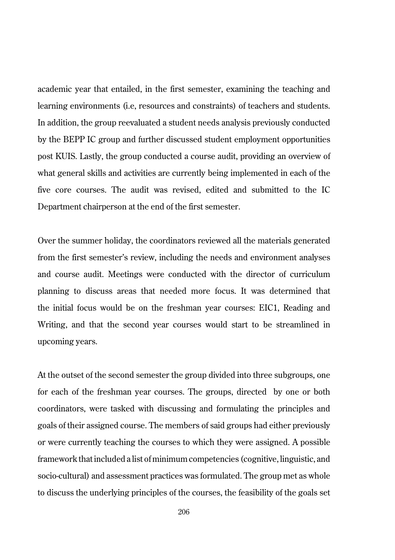academic year that entailed, in the first semester, examining the teaching and learning environments (i.e, resources and constraints) of teachers and students. In addition, the group reevaluated a student needs analysis previously conducted by the BEPP IC group and further discussed student employment opportunities post KUIS. Lastly, the group conducted a course audit, providing an overview of what general skills and activities are currently being implemented in each of the five core courses. The audit was revised, edited and submitted to the IC Department chairperson at the end of the first semester.

Over the summer holiday, the coordinators reviewed all the materials generated from the first semester's review, including the needs and environment analyses and course audit. Meetings were conducted with the director of curriculum planning to discuss areas that needed more focus. It was determined that the initial focus would be on the freshman year courses: EIC1, Reading and Writing, and that the second year courses would start to be streamlined in upcoming years.

At the outset of the second semester the group divided into three subgroups, one for each of the freshman year courses. The groups, directed by one or both coordinators, were tasked with discussing and formulating the principles and goals of their assigned course. The members of said groups had either previously or were currently teaching the courses to which they were assigned. A possible framework that included a list of minimum competencies (cognitive, linguistic, and socio-cultural) and assessment practices was formulated. The group met as whole to discuss the underlying principles of the courses, the feasibility of the goals set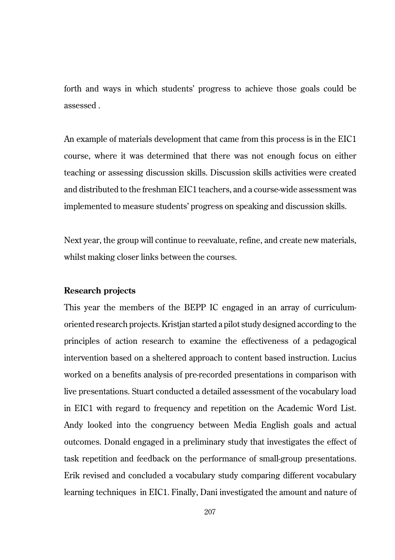forth and ways in which students' progress to achieve those goals could be assessed .

An example of materials development that came from this process is in the EIC1 course, where it was determined that there was not enough focus on either teaching or assessing discussion skills. Discussion skills activities were created and distributed to the freshman EIC1 teachers, and a course-wide assessment was implemented to measure students' progress on speaking and discussion skills.

Next year, the group will continue to reevaluate, refine, and create new materials, whilst making closer links between the courses.

### **Research projects**

This year the members of the BEPP IC engaged in an array of curriculumoriented research projects. Kristjan started a pilot study designed according to the principles of action research to examine the effectiveness of a pedagogical intervention based on a sheltered approach to content based instruction. Lucius worked on a benefits analysis of pre-recorded presentations in comparison with live presentations. Stuart conducted a detailed assessment of the vocabulary load in EIC1 with regard to frequency and repetition on the Academic Word List. Andy looked into the congruency between Media English goals and actual outcomes. Donald engaged in a preliminary study that investigates the effect of task repetition and feedback on the performance of small-group presentations. Erik revised and concluded a vocabulary study comparing different vocabulary learning techniques in EIC1. Finally, Dani investigated the amount and nature of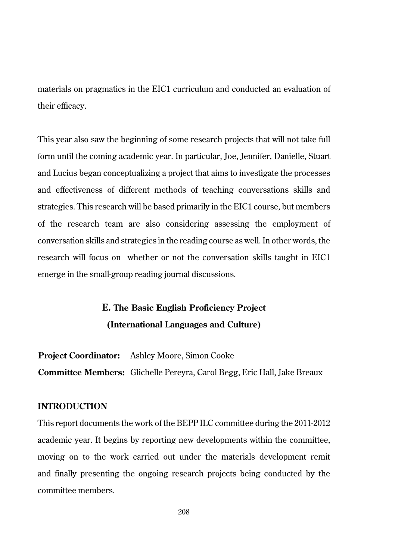materials on pragmatics in the EIC1 curriculum and conducted an evaluation of their efficacy.

This year also saw the beginning of some research projects that will not take full form until the coming academic year. In particular, Joe, Jennifer, Danielle, Stuart and Lucius began conceptualizing a project that aims to investigate the processes and effectiveness of different methods of teaching conversations skills and strategies. This research will be based primarily in the EIC1 course, but members of the research team are also considering assessing the employment of conversation skills and strategies in the reading course as well. In other words, the research will focus on whether or not the conversation skills taught in EIC1 emerge in the small-group reading journal discussions.

# **E. The Basic English Proficiency Project (International Languages and Culture)**

**Project Coordinator:** Ashley Moore, Simon Cooke **Committee Members:** Glichelle Pereyra, Carol Begg, Eric Hall, Jake Breaux

# **INTRODUCTION**

This report documents the work of the BEPP ILC committee during the 2011-2012 academic year. It begins by reporting new developments within the committee, moving on to the work carried out under the materials development remit and finally presenting the ongoing research projects being conducted by the committee members.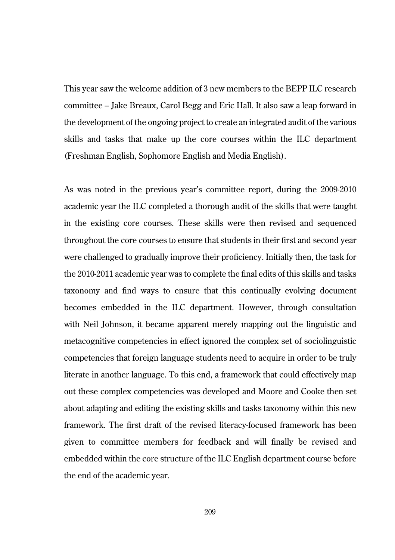This year saw the welcome addition of 3 new members to the BEPP ILC research committee – Jake Breaux, Carol Begg and Eric Hall. It also saw a leap forward in the development of the ongoing project to create an integrated audit of the various skills and tasks that make up the core courses within the ILC department (Freshman English, Sophomore English and Media English).

As was noted in the previous year's committee report, during the 2009-2010 academic year the ILC completed a thorough audit of the skills that were taught in the existing core courses. These skills were then revised and sequenced throughout the core courses to ensure that students in their first and second year were challenged to gradually improve their proficiency. Initially then, the task for the 2010-2011 academic year was to complete the final edits of this skills and tasks taxonomy and find ways to ensure that this continually evolving document becomes embedded in the ILC department. However, through consultation with Neil Johnson, it became apparent merely mapping out the linguistic and metacognitive competencies in effect ignored the complex set of sociolinguistic competencies that foreign language students need to acquire in order to be truly literate in another language. To this end, a framework that could effectively map out these complex competencies was developed and Moore and Cooke then set about adapting and editing the existing skills and tasks taxonomy within this new framework. The first draft of the revised literacy-focused framework has been given to committee members for feedback and will finally be revised and embedded within the core structure of the ILC English department course before the end of the academic year.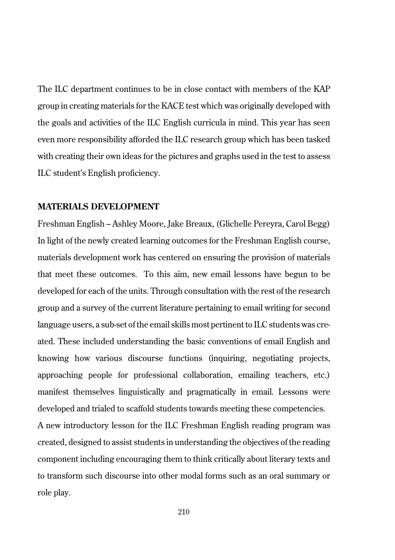The ILC department continues to be in close contact with members of the KAP group in creating materials for the KACE test which was originally developed with the goals and activities of the ILC English curricula in mind. This year has seen even more responsibility afforded the ILC research group which has been tasked with creating their own ideas for the pictures and graphs used in the test to assess ILC student's English proficiency.

# **MATERIALS DEVELOPMENT**

role play.

Freshman English – Ashley Moore, Jake Breaux, (Glichelle Pereyra, Carol Begg) In light of the newly created learning outcomes for the Freshman English course, materials development work has centered on ensuring the provision of materials that meet these outcomes. To this aim, new email lessons have begun to be developed for each of the units. Through consultation with the rest of the research group and a survey of the current literature pertaining to email writing for second language users, a sub-set of the email skills most pertinent to ILC students was created. These included understanding the basic conventions of email English and knowing how various discourse functions (inquiring, negotiating projects, approaching people for professional collaboration, emailing teachers, etc.) manifest themselves linguistically and pragmatically in email. Lessons were developed and trialed to scaffold students towards meeting these competencies. A new introductory lesson for the ILC Freshman English reading program was created, designed to assist students in understanding the objectives of the reading component including encouraging them to think critically about literary texts and to transform such discourse into other modal forms such as an oral summary or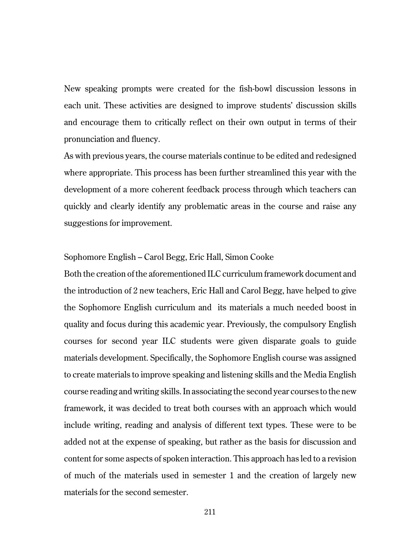New speaking prompts were created for the fish-bowl discussion lessons in each unit. These activities are designed to improve students' discussion skills and encourage them to critically reflect on their own output in terms of their pronunciation and fluency.

As with previous years, the course materials continue to be edited and redesigned where appropriate. This process has been further streamlined this year with the development of a more coherent feedback process through which teachers can quickly and clearly identify any problematic areas in the course and raise any suggestions for improvement.

# Sophomore English – Carol Begg, Eric Hall, Simon Cooke

Both the creation of the aforementioned ILC curriculum framework document and the introduction of 2 new teachers, Eric Hall and Carol Begg, have helped to give the Sophomore English curriculum and its materials a much needed boost in quality and focus during this academic year. Previously, the compulsory English courses for second year ILC students were given disparate goals to guide materials development. Specifically, the Sophomore English course was assigned to create materials to improve speaking and listening skills and the Media English course reading and writing skills. In associating the second year courses to the new framework, it was decided to treat both courses with an approach which would include writing, reading and analysis of different text types. These were to be added not at the expense of speaking, but rather as the basis for discussion and content for some aspects of spoken interaction. This approach has led to a revision of much of the materials used in semester 1 and the creation of largely new materials for the second semester.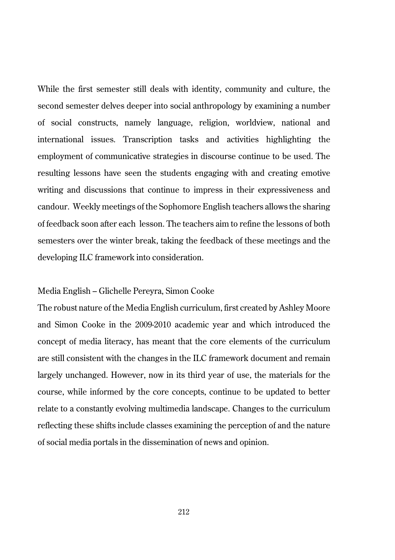While the first semester still deals with identity, community and culture, the second semester delves deeper into social anthropology by examining a number of social constructs, namely language, religion, worldview, national and international issues. Transcription tasks and activities highlighting the employment of communicative strategies in discourse continue to be used. The resulting lessons have seen the students engaging with and creating emotive writing and discussions that continue to impress in their expressiveness and candour. Weekly meetings of the Sophomore English teachers allows the sharing of feedback soon after each lesson. The teachers aim to refine the lessons of both semesters over the winter break, taking the feedback of these meetings and the developing ILC framework into consideration.

### Media English – Glichelle Pereyra, Simon Cooke

The robust nature of the Media English curriculum, first created by Ashley Moore and Simon Cooke in the 2009-2010 academic year and which introduced the concept of media literacy, has meant that the core elements of the curriculum are still consistent with the changes in the ILC framework document and remain largely unchanged. However, now in its third year of use, the materials for the course, while informed by the core concepts, continue to be updated to better relate to a constantly evolving multimedia landscape. Changes to the curriculum reflecting these shifts include classes examining the perception of and the nature of social media portals in the dissemination of news and opinion.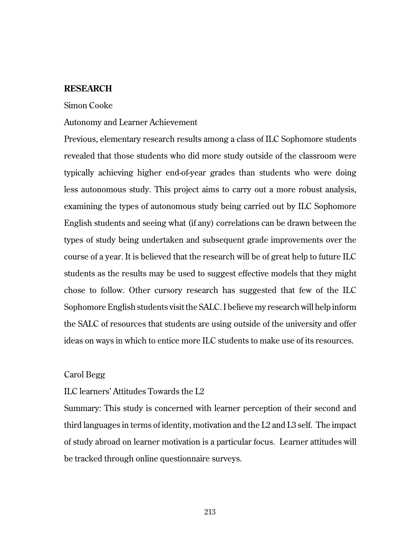# **RESEARCH**

### Simon Cooke

# Autonomy and Learner Achievement

Previous, elementary research results among a class of ILC Sophomore students revealed that those students who did more study outside of the classroom were typically achieving higher end-of-year grades than students who were doing less autonomous study. This project aims to carry out a more robust analysis, examining the types of autonomous study being carried out by ILC Sophomore English students and seeing what (if any) correlations can be drawn between the types of study being undertaken and subsequent grade improvements over the course of a year. It is believed that the research will be of great help to future ILC students as the results may be used to suggest effective models that they might chose to follow. Other cursory research has suggested that few of the ILC Sophomore English students visit the SALC. I believe my research will help inform the SALC of resources that students are using outside of the university and offer ideas on ways in which to entice more ILC students to make use of its resources.

### Carol Begg

# ILC learners' Attitudes Towards the L2

Summary: This study is concerned with learner perception of their second and third languages in terms of identity, motivation and the L2 and L3 self. The impact of study abroad on learner motivation is a particular focus. Learner attitudes will be tracked through online questionnaire surveys.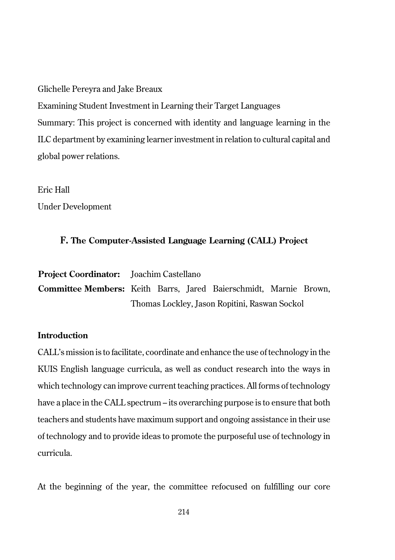Glichelle Pereyra and Jake Breaux

Examining Student Investment in Learning their Target Languages Summary: This project is concerned with identity and language learning in the ILC department by examining learner investment in relation to cultural capital and global power relations.

Eric Hall

Under Development

### **F. The Computer-Assisted Language Learning (CALL) Project**

**Project Coordinator:** Joachim Castellano **Committee Members:** Keith Barrs, Jared Baierschmidt, Marnie Brown, Thomas Lockley, Jason Ropitini, Raswan Sockol

# **Introduction**

CALL's mission is to facilitate, coordinate and enhance the use of technology in the KUIS English language curricula, as well as conduct research into the ways in which technology can improve current teaching practices. All forms of technology have a place in the CALL spectrum – its overarching purpose is to ensure that both teachers and students have maximum support and ongoing assistance in their use of technology and to provide ideas to promote the purposeful use of technology in curricula.

At the beginning of the year, the committee refocused on fulfilling our core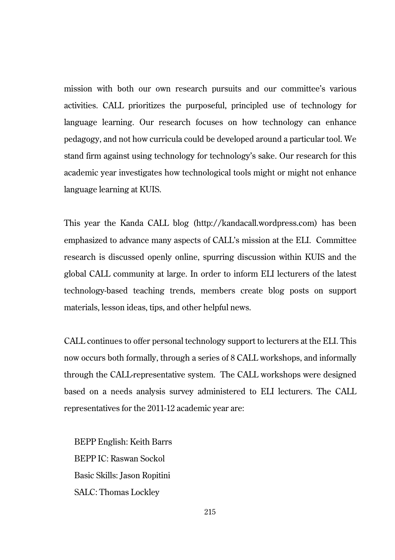mission with both our own research pursuits and our committee's various activities. CALL prioritizes the purposeful, principled use of technology for language learning. Our research focuses on how technology can enhance pedagogy, and not how curricula could be developed around a particular tool. We stand firm against using technology for technology's sake. Our research for this academic year investigates how technological tools might or might not enhance language learning at KUIS.

This year the Kanda CALL blog (http://kandacall.wordpress.com) has been emphasized to advance many aspects of CALL's mission at the ELI. Committee research is discussed openly online, spurring discussion within KUIS and the global CALL community at large. In order to inform ELI lecturers of the latest technology-based teaching trends, members create blog posts on support materials, lesson ideas, tips, and other helpful news.

CALL continues to offer personal technology support to lecturers at the ELI. This now occurs both formally, through a series of 8 CALL workshops, and informally through the CALL-representative system. The CALL workshops were designed based on a needs analysis survey administered to ELI lecturers. The CALL representatives for the 2011-12 academic year are:

BEPP English: Keith Barrs BEPP IC: Raswan Sockol Basic Skills: Jason Ropitini SALC: Thomas Lockley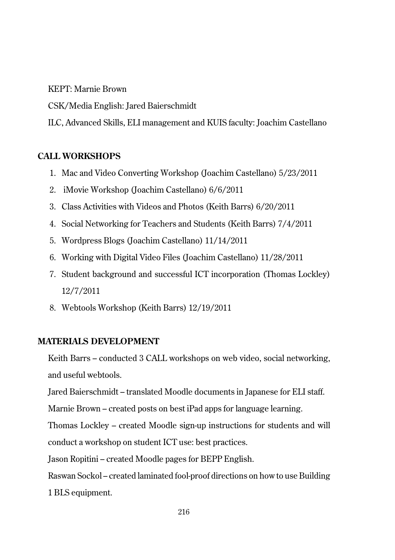KEPT: Marnie Brown

CSK/Media English: Jared Baierschmidt

ILC, Advanced Skills, ELI management and KUIS faculty: Joachim Castellano

# **CALL WORKSHOPS**

- 1. Mac and Video Converting Workshop (Joachim Castellano) 5/23/2011
- 2. iMovie Workshop (Joachim Castellano) 6/6/2011
- 3. Class Activities with Videos and Photos (Keith Barrs) 6/20/2011
- 4. Social Networking for Teachers and Students (Keith Barrs) 7/4/2011
- 5. Wordpress Blogs (Joachim Castellano) 11/14/2011
- 6. Working with Digital Video Files (Joachim Castellano) 11/28/2011
- 7. Student background and successful ICT incorporation (Thomas Lockley) 12/7/2011
- 8. Webtools Workshop (Keith Barrs) 12/19/2011

# **MATERIALS DEVELOPMENT**

Keith Barrs – conducted 3 CALL workshops on web video, social networking, and useful webtools.

Jared Baierschmidt – translated Moodle documents in Japanese for ELI staff.

Marnie Brown – created posts on best iPad apps for language learning.

Thomas Lockley – created Moodle sign-up instructions for students and will conduct a workshop on student ICT use: best practices.

Jason Ropitini – created Moodle pages for BEPP English.

Raswan Sockol – created laminated fool-proof directions on how to use Building 1 BLS equipment.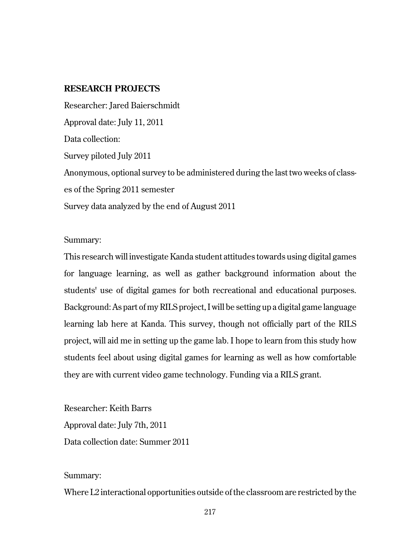# **RESEARCH PROJECTS**

Researcher: Jared Baierschmidt Approval date: July 11, 2011 Data collection: Survey piloted July 2011 Anonymous, optional survey to be administered during the last two weeks of classes of the Spring 2011 semester Survey data analyzed by the end of August 2011

### Summary:

This research will investigate Kanda student attitudes towards using digital games for language learning, as well as gather background information about the students' use of digital games for both recreational and educational purposes. Background: As part of my RILS project, I will be setting up a digital game language learning lab here at Kanda. This survey, though not officially part of the RILS project, will aid me in setting up the game lab. I hope to learn from this study how students feel about using digital games for learning as well as how comfortable they are with current video game technology. Funding via a RILS grant.

Researcher: Keith Barrs Approval date: July 7th, 2011 Data collection date: Summer 2011

### Summary:

Where L2 interactional opportunities outside of the classroom are restricted by the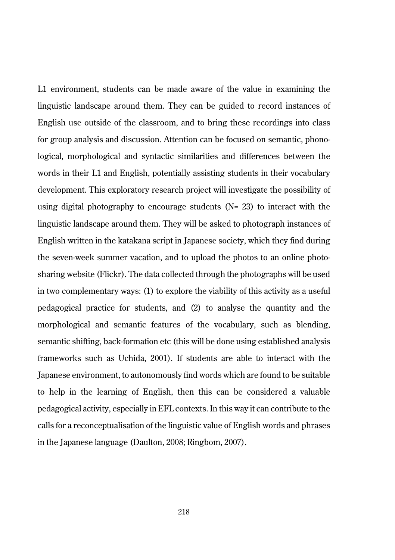L1 environment, students can be made aware of the value in examining the linguistic landscape around them. They can be guided to record instances of English use outside of the classroom, and to bring these recordings into class for group analysis and discussion. Attention can be focused on semantic, phonological, morphological and syntactic similarities and differences between the words in their L1 and English, potentially assisting students in their vocabulary development. This exploratory research project will investigate the possibility of using digital photography to encourage students  $(N= 23)$  to interact with the linguistic landscape around them. They will be asked to photograph instances of English written in the katakana script in Japanese society, which they find during the seven-week summer vacation, and to upload the photos to an online photosharing website (Flickr). The data collected through the photographs will be used in two complementary ways: (1) to explore the viability of this activity as a useful pedagogical practice for students, and (2) to analyse the quantity and the morphological and semantic features of the vocabulary, such as blending, semantic shifting, back-formation etc (this will be done using established analysis frameworks such as Uchida, 2001). If students are able to interact with the Japanese environment, to autonomously find words which are found to be suitable to help in the learning of English, then this can be considered a valuable pedagogical activity, especially in EFL contexts. In this way it can contribute to the calls for a reconceptualisation of the linguistic value of English words and phrases in the Japanese language (Daulton, 2008; Ringbom, 2007).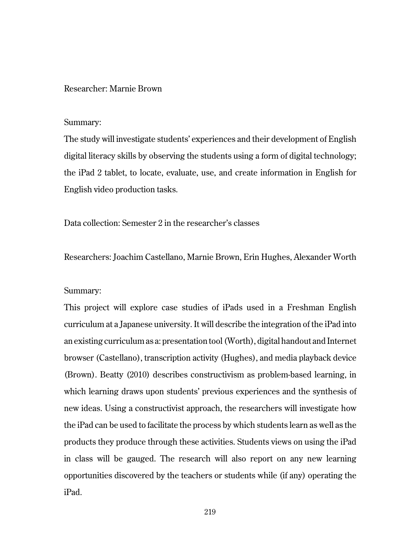# Researcher: Marnie Brown

#### Summary:

The study will investigate students' experiences and their development of English digital literacy skills by observing the students using a form of digital technology; the iPad 2 tablet, to locate, evaluate, use, and create information in English for English video production tasks.

Data collection: Semester 2 in the researcher's classes

Researchers: Joachim Castellano, Marnie Brown, Erin Hughes, Alexander Worth

### Summary:

This project will explore case studies of iPads used in a Freshman English curriculum at a Japanese university. It will describe the integration of the iPad into an existing curriculum as a: presentation tool (Worth), digital handout and Internet browser (Castellano), transcription activity (Hughes), and media playback device (Brown). Beatty (2010) describes constructivism as problem-based learning, in which learning draws upon students' previous experiences and the synthesis of new ideas. Using a constructivist approach, the researchers will investigate how the iPad can be used to facilitate the process by which students learn as well as the products they produce through these activities. Students views on using the iPad in class will be gauged. The research will also report on any new learning opportunities discovered by the teachers or students while (if any) operating the iPad.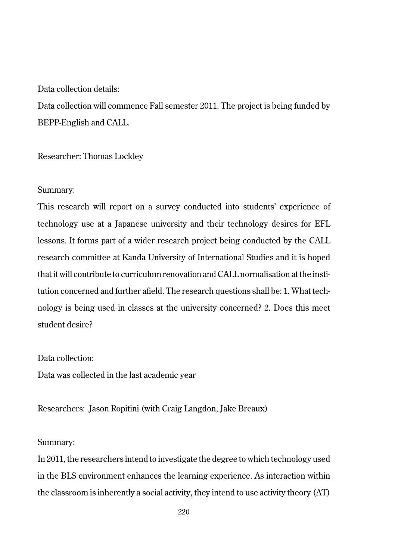# Data collection details:

Data collection will commence Fall semester 2011. The project is being funded by BEPP-English and CALL.

### Researcher: Thomas Lockley

### Summary:

This research will report on a survey conducted into students' experience of technology use at a Japanese university and their technology desires for EFL lessons. It forms part of a wider research project being conducted by the CALL research committee at Kanda University of International Studies and it is hoped that it will contribute to curriculum renovation and CALL normalisation at the institution concerned and further afield. The research questions shall be: 1. What technology is being used in classes at the university concerned? 2. Does this meet student desire?

Data collection:

Data was collected in the last academic year

Researchers: Jason Ropitini (with Craig Langdon, Jake Breaux)

# Summary:

In 2011, the researchers intend to investigate the degree to which technology used in the BLS environment enhances the learning experience. As interaction within the classroom is inherently a social activity, they intend to use activity theory (AT)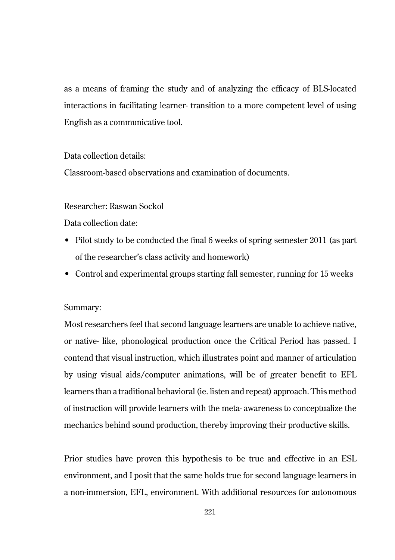as a means of framing the study and of analyzing the efficacy of BLS-located interactions in facilitating learner- transition to a more competent level of using English as a communicative tool.

Data collection details:

Classroom-based observations and examination of documents.

Researcher: Raswan Sockol

Data collection date:

- Pilot study to be conducted the final 6 weeks of spring semester 2011 (as part of the researcher's class activity and homework)
- Control and experimental groups starting fall semester, running for 15 weeks

### Summary:

Most researchers feel that second language learners are unable to achieve native, or native- like, phonological production once the Critical Period has passed. I contend that visual instruction, which illustrates point and manner of articulation by using visual aids/computer animations, will be of greater benefit to EFL learners than a traditional behavioral (ie. listen and repeat) approach. This method of instruction will provide learners with the meta- awareness to conceptualize the mechanics behind sound production, thereby improving their productive skills.

Prior studies have proven this hypothesis to be true and effective in an ESL environment, and I posit that the same holds true for second language learners in a non-immersion, EFL, environment. With additional resources for autonomous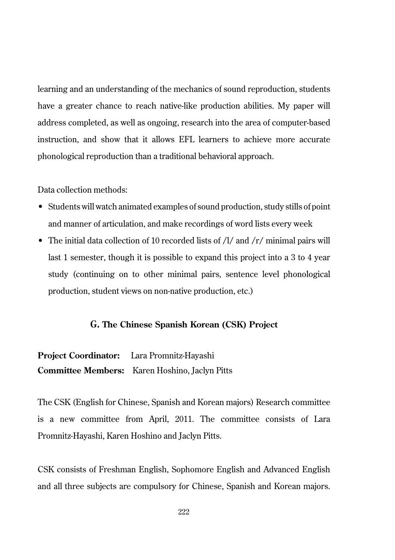learning and an understanding of the mechanics of sound reproduction, students have a greater chance to reach native-like production abilities. My paper will address completed, as well as ongoing, research into the area of computer-based instruction, and show that it allows EFL learners to achieve more accurate phonological reproduction than a traditional behavioral approach.

Data collection methods:

- Students will watch animated examples of sound production, study stills of point and manner of articulation, and make recordings of word lists every week
- The initial data collection of 10 recorded lists of /l/ and /r/ minimal pairs will last 1 semester, though it is possible to expand this project into a 3 to 4 year study (continuing on to other minimal pairs, sentence level phonological production, student views on non-native production, etc.)

## **G. The Chinese Spanish Korean (CSK) Project**

**Project Coordinator:** Lara Promnitz-Hayashi **Committee Members:** Karen Hoshino, Jaclyn Pitts

The CSK (English for Chinese, Spanish and Korean majors) Research committee is a new committee from April, 2011. The committee consists of Lara Promnitz-Hayashi, Karen Hoshino and Jaclyn Pitts.

CSK consists of Freshman English, Sophomore English and Advanced English and all three subjects are compulsory for Chinese, Spanish and Korean majors.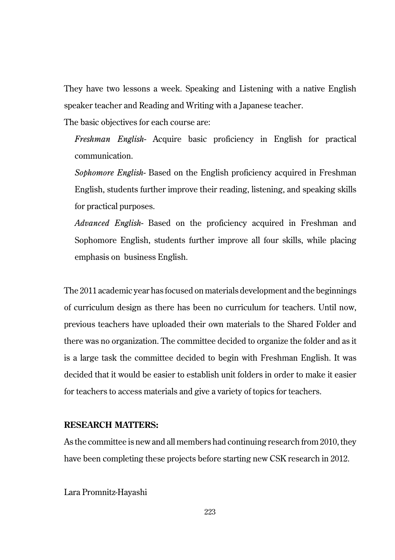They have two lessons a week. Speaking and Listening with a native English speaker teacher and Reading and Writing with a Japanese teacher.

The basic objectives for each course are:

*Freshman English-* Acquire basic proficiency in English for practical communication.

*Sophomore English-* Based on the English proficiency acquired in Freshman English, students further improve their reading, listening, and speaking skills for practical purposes.

*Advanced English-* Based on the proficiency acquired in Freshman and Sophomore English, students further improve all four skills, while placing emphasis on business English.

The 2011 academic year has focused on materials development and the beginnings of curriculum design as there has been no curriculum for teachers. Until now, previous teachers have uploaded their own materials to the Shared Folder and there was no organization. The committee decided to organize the folder and as it is a large task the committee decided to begin with Freshman English. It was decided that it would be easier to establish unit folders in order to make it easier for teachers to access materials and give a variety of topics for teachers.

## **RESEARCH MATTERS:**

As the committee is new and all members had continuing research from 2010, they have been completing these projects before starting new CSK research in 2012.

Lara Promnitz-Hayashi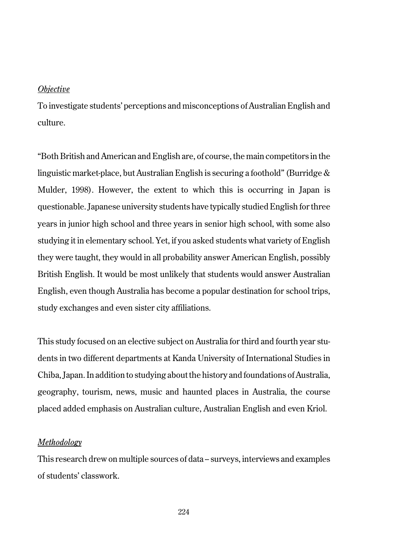#### *Objective*

To investigate students' perceptions and misconceptions of Australian English and culture.

"Both British and American and English are, of course, the main competitors in the linguistic market-place, but Australian English is securing a foothold" (Burridge & Mulder, 1998). However, the extent to which this is occurring in Japan is questionable. Japanese university students have typically studied English for three years in junior high school and three years in senior high school, with some also studying it in elementary school. Yet, if you asked students what variety of English they were taught, they would in all probability answer American English, possibly British English. It would be most unlikely that students would answer Australian English, even though Australia has become a popular destination for school trips, study exchanges and even sister city affiliations.

This study focused on an elective subject on Australia for third and fourth year students in two different departments at Kanda University of International Studies in Chiba, Japan. In addition to studying about the history and foundations of Australia, geography, tourism, news, music and haunted places in Australia, the course placed added emphasis on Australian culture, Australian English and even Kriol.

#### *Methodology*

This research drew on multiple sources of data – surveys, interviews and examples of students' classwork.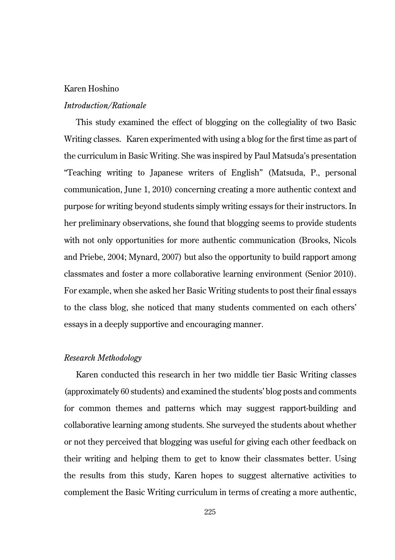## Karen Hoshino

### *Introduction/Rationale*

This study examined the effect of blogging on the collegiality of two Basic Writing classes. Karen experimented with using a blog for the first time as part of the curriculum in Basic Writing. She was inspired by Paul Matsuda's presentation "Teaching writing to Japanese writers of English" (Matsuda, P., personal communication, June 1, 2010) concerning creating a more authentic context and purpose for writing beyond students simply writing essays for their instructors. In her preliminary observations, she found that blogging seems to provide students with not only opportunities for more authentic communication (Brooks, Nicols and Priebe, 2004; Mynard, 2007) but also the opportunity to build rapport among classmates and foster a more collaborative learning environment (Senior 2010). For example, when she asked her Basic Writing students to post their final essays to the class blog, she noticed that many students commented on each others' essays in a deeply supportive and encouraging manner.

#### *Research Methodology*

Karen conducted this research in her two middle tier Basic Writing classes (approximately 60 students) and examined the students' blog posts and comments for common themes and patterns which may suggest rapport-building and collaborative learning among students. She surveyed the students about whether or not they perceived that blogging was useful for giving each other feedback on their writing and helping them to get to know their classmates better. Using the results from this study, Karen hopes to suggest alternative activities to complement the Basic Writing curriculum in terms of creating a more authentic,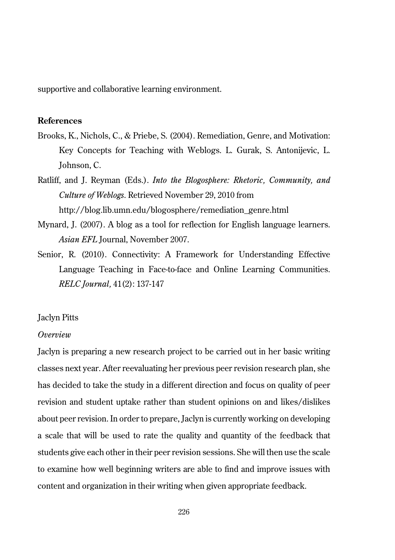supportive and collaborative learning environment.

# **References**

- Brooks, K., Nichols, C., & Priebe, S. (2004). Remediation, Genre, and Motivation: Key Concepts for Teaching with Weblogs. L. Gurak, S. Antonijevic, L. Johnson, C.
- Ratliff, and J. Reyman (Eds.). *Into the Blogosphere: Rhetoric, Community, and Culture of Weblogs*. Retrieved November 29, 2010 from http://blog.lib.umn.edu/blogosphere/remediation\_genre.html
- Mynard, J. (2007). A blog as a tool for reflection for English language learners. *Asian EFL* Journal, November 2007.
- Senior, R. (2010). Connectivity: A Framework for Understanding Effective Language Teaching in Face-to-face and Online Learning Communities. *RELC Journal,* 41(2): 137-147

### Jaclyn Pitts

## *Overview*

Jaclyn is preparing a new research project to be carried out in her basic writing classes next year. After reevaluating her previous peer revision research plan, she has decided to take the study in a different direction and focus on quality of peer revision and student uptake rather than student opinions on and likes/dislikes about peer revision. In order to prepare, Jaclyn is currently working on developing a scale that will be used to rate the quality and quantity of the feedback that students give each other in their peer revision sessions. She will then use the scale to examine how well beginning writers are able to find and improve issues with content and organization in their writing when given appropriate feedback.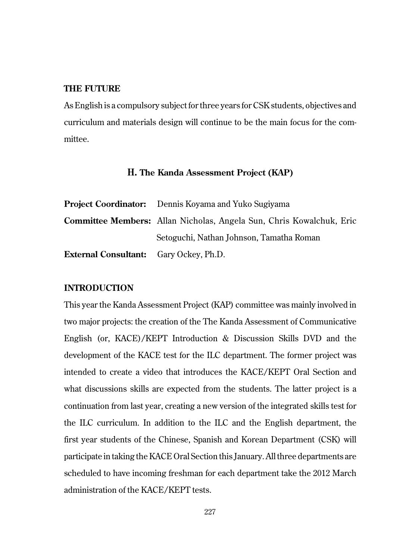### **THE FUTURE**

As English is a compulsory subject for three years for CSK students, objectives and curriculum and materials design will continue to be the main focus for the committee.

## **H. The Kanda Assessment Project (KAP)**

|                                               | <b>Project Coordinator:</b> Dennis Kovama and Yuko Sugivama                 |  |  |  |
|-----------------------------------------------|-----------------------------------------------------------------------------|--|--|--|
|                                               | <b>Committee Members:</b> Allan Nicholas, Angela Sun, Chris Kowalchuk, Eric |  |  |  |
|                                               | Setoguchi, Nathan Johnson, Tamatha Roman                                    |  |  |  |
| <b>External Consultant:</b> Gary Ockey, Ph.D. |                                                                             |  |  |  |

## **INTRODUCTION**

This year the Kanda Assessment Project (KAP) committee was mainly involved in two major projects: the creation of the The Kanda Assessment of Communicative English (or, KACE)/KEPT Introduction & Discussion Skills DVD and the development of the KACE test for the ILC department. The former project was intended to create a video that introduces the KACE/KEPT Oral Section and what discussions skills are expected from the students. The latter project is a continuation from last year, creating a new version of the integrated skills test for the ILC curriculum. In addition to the ILC and the English department, the first year students of the Chinese, Spanish and Korean Department (CSK) will participate in taking the KACE Oral Section this January. All three departments are scheduled to have incoming freshman for each department take the 2012 March administration of the KACE/KEPT tests.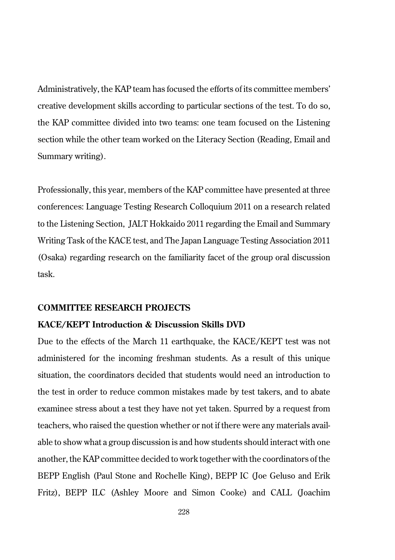Administratively, the KAP team has focused the efforts of its committee members' creative development skills according to particular sections of the test. To do so, the KAP committee divided into two teams: one team focused on the Listening section while the other team worked on the Literacy Section (Reading, Email and Summary writing).

Professionally, this year, members of the KAP committee have presented at three conferences: Language Testing Research Colloquium 2011 on a research related to the Listening Section, JALT Hokkaido 2011 regarding the Email and Summary Writing Task of the KACE test, and The Japan Language Testing Association 2011 (Osaka) regarding research on the familiarity facet of the group oral discussion task.

## **COMMITTEE RESEARCH PROJECTS**

## **KACE/KEPT Introduction & Discussion Skills DVD**

Due to the effects of the March 11 earthquake, the KACE/KEPT test was not administered for the incoming freshman students. As a result of this unique situation, the coordinators decided that students would need an introduction to the test in order to reduce common mistakes made by test takers, and to abate examinee stress about a test they have not yet taken. Spurred by a request from teachers, who raised the question whether or not if there were any materials available to show what a group discussion is and how students should interact with one another, the KAP committee decided to work together with the coordinators of the BEPP English (Paul Stone and Rochelle King), BEPP IC (Joe Geluso and Erik Fritz), BEPP ILC (Ashley Moore and Simon Cooke) and CALL (Joachim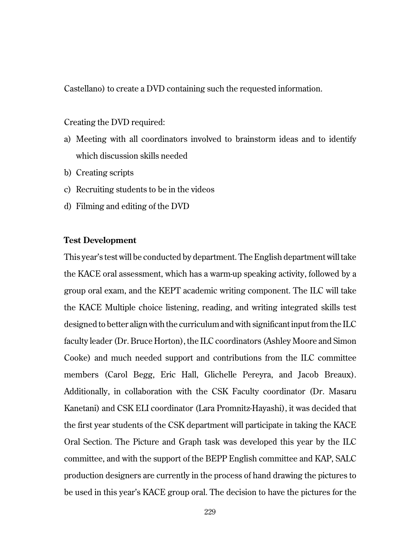Castellano) to create a DVD containing such the requested information.

Creating the DVD required:

- a) Meeting with all coordinators involved to brainstorm ideas and to identify which discussion skills needed
- b) Creating scripts
- c) Recruiting students to be in the videos
- d) Filming and editing of the DVD

### **Test Development**

This year's test will be conducted by department. The English department will take the KACE oral assessment, which has a warm-up speaking activity, followed by a group oral exam, and the KEPT academic writing component. The ILC will take the KACE Multiple choice listening, reading, and writing integrated skills test designed to better align with the curriculum and with significant input from the ILC faculty leader (Dr. Bruce Horton), the ILC coordinators (Ashley Moore and Simon Cooke) and much needed support and contributions from the ILC committee members (Carol Begg, Eric Hall, Glichelle Pereyra, and Jacob Breaux). Additionally, in collaboration with the CSK Faculty coordinator (Dr. Masaru Kanetani) and CSK ELI coordinator (Lara Promnitz-Hayashi), it was decided that the first year students of the CSK department will participate in taking the KACE Oral Section. The Picture and Graph task was developed this year by the ILC committee, and with the support of the BEPP English committee and KAP, SALC production designers are currently in the process of hand drawing the pictures to be used in this year's KACE group oral. The decision to have the pictures for the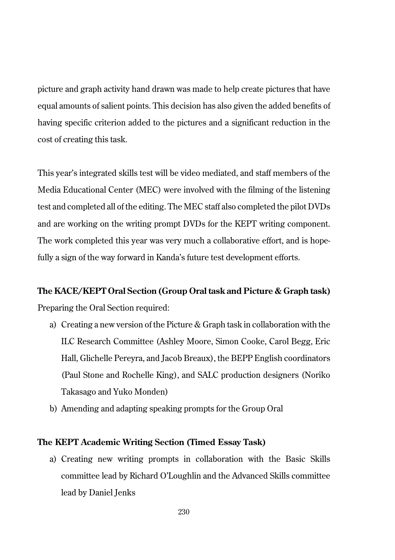picture and graph activity hand drawn was made to help create pictures that have equal amounts of salient points. This decision has also given the added benefits of having specific criterion added to the pictures and a significant reduction in the cost of creating this task.

This year's integrated skills test will be video mediated, and staff members of the Media Educational Center (MEC) were involved with the filming of the listening test and completed all of the editing. The MEC staff also completed the pilot DVDs and are working on the writing prompt DVDs for the KEPT writing component. The work completed this year was very much a collaborative effort, and is hopefully a sign of the way forward in Kanda's future test development efforts.

# **The KACE/KEPT Oral Section (Group Oral task and Picture & Graph task)**

Preparing the Oral Section required:

- a) Creating a new version of the Picture & Graph task in collaboration with the ILC Research Committee (Ashley Moore, Simon Cooke, Carol Begg, Eric Hall, Glichelle Pereyra, and Jacob Breaux), the BEPP English coordinators (Paul Stone and Rochelle King), and SALC production designers (Noriko Takasago and Yuko Monden)
- b) Amending and adapting speaking prompts for the Group Oral

## **The KEPT Academic Writing Section (Timed Essay Task)**

a) Creating new writing prompts in collaboration with the Basic Skills committee lead by Richard O'Loughlin and the Advanced Skills committee lead by Daniel Jenks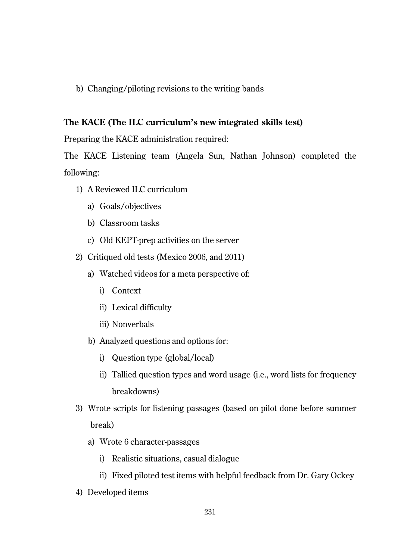b) Changing/piloting revisions to the writing bands

# **The KACE (The ILC curriculum's new integrated skills test)**

Preparing the KACE administration required:

The KACE Listening team (Angela Sun, Nathan Johnson) completed the following:

- 1) A Reviewed ILC curriculum
	- a) Goals/objectives
	- b) Classroom tasks
	- c) Old KEPT-prep activities on the server
- 2) Critiqued old tests (Mexico 2006, and 2011)
	- a) Watched videos for a meta perspective of:
		- i) Context
		- ii) Lexical difficulty
		- iii) Nonverbals
	- b) Analyzed questions and options for:
		- i) Question type (global/local)
		- ii) Tallied question types and word usage (i.e., word lists for frequency breakdowns)
- 3) Wrote scripts for listening passages (based on pilot done before summer break)
	- a) Wrote 6 character-passages
		- i) Realistic situations, casual dialogue
		- ii) Fixed piloted test items with helpful feedback from Dr. Gary Ockey
- 4) Developed items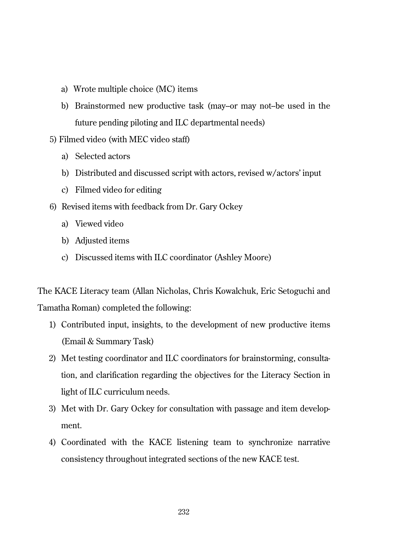- a) Wrote multiple choice (MC) items
- b) Brainstormed new productive task (may-or may not-be used in the future pending piloting and ILC departmental needs)
- 5) Filmed video (with MEC video staff)
	- a) Selected actors
	- b) Distributed and discussed script with actors, revised w/actors' input
	- c) Filmed video for editing
- 6) Revised items with feedback from Dr. Gary Ockey
	- a) Viewed video
	- b) Adjusted items
	- c) Discussed items with ILC coordinator (Ashley Moore)

The KACE Literacy team (Allan Nicholas, Chris Kowalchuk, Eric Setoguchi and Tamatha Roman) completed the following:

- 1) Contributed input, insights, to the development of new productive items (Email & Summary Task)
- 2) Met testing coordinator and ILC coordinators for brainstorming, consultation, and clarification regarding the objectives for the Literacy Section in light of ILC curriculum needs.
- 3) Met with Dr. Gary Ockey for consultation with passage and item development.
- 4) Coordinated with the KACE listening team to synchronize narrative consistency throughout integrated sections of the new KACE test.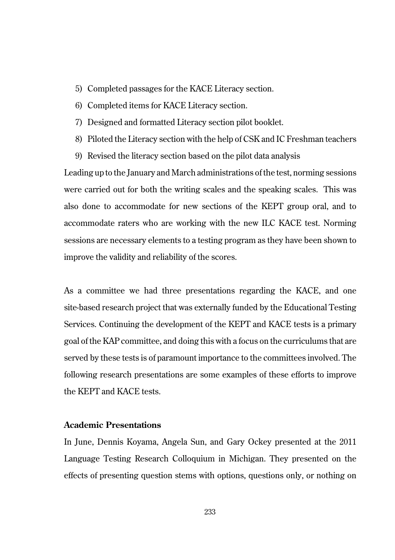- 5) Completed passages for the KACE Literacy section.
- 6) Completed items for KACE Literacy section.
- 7) Designed and formatted Literacy section pilot booklet.
- 8) Piloted the Literacy section with the help of CSK and IC Freshman teachers
- 9) Revised the literacy section based on the pilot data analysis

Leading up to the January and March administrations of the test, norming sessions were carried out for both the writing scales and the speaking scales. This was also done to accommodate for new sections of the KEPT group oral, and to accommodate raters who are working with the new ILC KACE test. Norming sessions are necessary elements to a testing program as they have been shown to improve the validity and reliability of the scores.

As a committee we had three presentations regarding the KACE, and one site-based research project that was externally funded by the Educational Testing Services. Continuing the development of the KEPT and KACE tests is a primary goal of the KAP committee, and doing this with a focus on the curriculums that are served by these tests is of paramount importance to the committees involved. The following research presentations are some examples of these efforts to improve the KEPT and KACE tests.

## **Academic Presentations**

In June, Dennis Koyama, Angela Sun, and Gary Ockey presented at the 2011 Language Testing Research Colloquium in Michigan. They presented on the effects of presenting question stems with options, questions only, or nothing on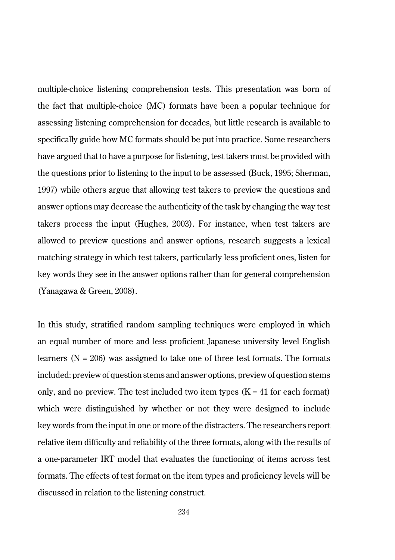multiple-choice listening comprehension tests. This presentation was born of the fact that multiple-choice (MC) formats have been a popular technique for assessing listening comprehension for decades, but little research is available to specifically guide how MC formats should be put into practice. Some researchers have argued that to have a purpose for listening, test takers must be provided with the questions prior to listening to the input to be assessed (Buck, 1995; Sherman, 1997) while others argue that allowing test takers to preview the questions and answer options may decrease the authenticity of the task by changing the way test takers process the input (Hughes, 2003). For instance, when test takers are allowed to preview questions and answer options, research suggests a lexical matching strategy in which test takers, particularly less proficient ones, listen for key words they see in the answer options rather than for general comprehension (Yanagawa & Green, 2008).

In this study, stratified random sampling techniques were employed in which an equal number of more and less proficient Japanese university level English learners ( $N = 206$ ) was assigned to take one of three test formats. The formats included: preview of question stems and answer options, preview of question stems only, and no preview. The test included two item types  $(K = 41$  for each format) which were distinguished by whether or not they were designed to include key words from the input in one or more of the distracters. The researchers report relative item difficulty and reliability of the three formats, along with the results of a one-parameter IRT model that evaluates the functioning of items across test formats. The effects of test format on the item types and proficiency levels will be discussed in relation to the listening construct.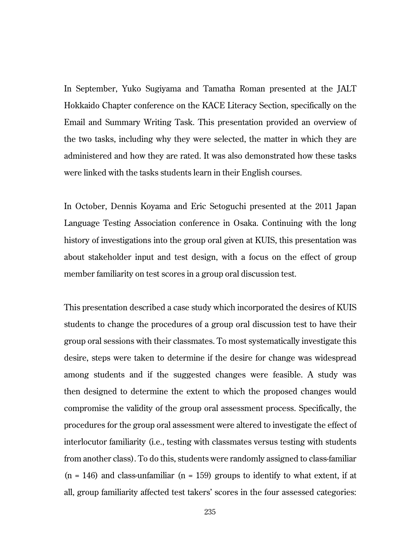In September, Yuko Sugiyama and Tamatha Roman presented at the JALT Hokkaido Chapter conference on the KACE Literacy Section, specifically on the Email and Summary Writing Task. This presentation provided an overview of the two tasks, including why they were selected, the matter in which they are administered and how they are rated. It was also demonstrated how these tasks were linked with the tasks students learn in their English courses.

In October, Dennis Koyama and Eric Setoguchi presented at the 2011 Japan Language Testing Association conference in Osaka. Continuing with the long history of investigations into the group oral given at KUIS, this presentation was about stakeholder input and test design, with a focus on the effect of group member familiarity on test scores in a group oral discussion test.

This presentation described a case study which incorporated the desires of KUIS students to change the procedures of a group oral discussion test to have their group oral sessions with their classmates. To most systematically investigate this desire, steps were taken to determine if the desire for change was widespread among students and if the suggested changes were feasible. A study was then designed to determine the extent to which the proposed changes would compromise the validity of the group oral assessment process. Specifically, the procedures for the group oral assessment were altered to investigate the effect of interlocutor familiarity (i.e., testing with classmates versus testing with students from another class). To do this, students were randomly assigned to class-familiar  $(n = 146)$  and class-unfamiliar  $(n = 159)$  groups to identify to what extent, if at all, group familiarity affected test takers' scores in the four assessed categories: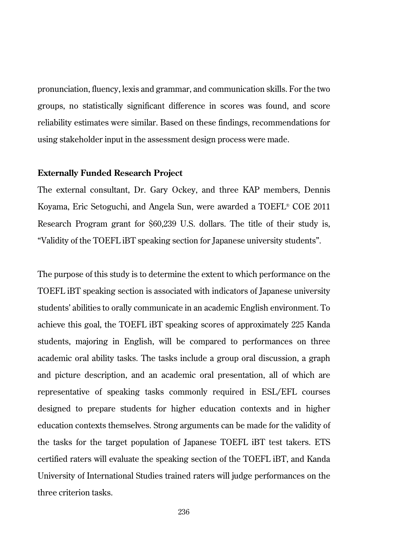pronunciation, fluency, lexis and grammar, and communication skills. For the two groups, no statistically significant difference in scores was found, and score reliability estimates were similar. Based on these findings, recommendations for using stakeholder input in the assessment design process were made.

### **Externally Funded Research Project**

The external consultant, Dr. Gary Ockey, and three KAP members, Dennis Koyama, Eric Setoguchi, and Angela Sun, were awarded a TOEFL® COE 2011 Research Program grant for \$60,239 U.S. dollars. The title of their study is, "Validity of the TOEFL iBT speaking section for Japanese university students".

The purpose of this study is to determine the extent to which performance on the TOEFL iBT speaking section is associated with indicators of Japanese university students' abilities to orally communicate in an academic English environment. To achieve this goal, the TOEFL iBT speaking scores of approximately 225 Kanda students, majoring in English, will be compared to performances on three academic oral ability tasks. The tasks include a group oral discussion, a graph and picture description, and an academic oral presentation, all of which are representative of speaking tasks commonly required in ESL/EFL courses designed to prepare students for higher education contexts and in higher education contexts themselves. Strong arguments can be made for the validity of the tasks for the target population of Japanese TOEFL iBT test takers. ETS certified raters will evaluate the speaking section of the TOEFL iBT, and Kanda University of International Studies trained raters will judge performances on the three criterion tasks.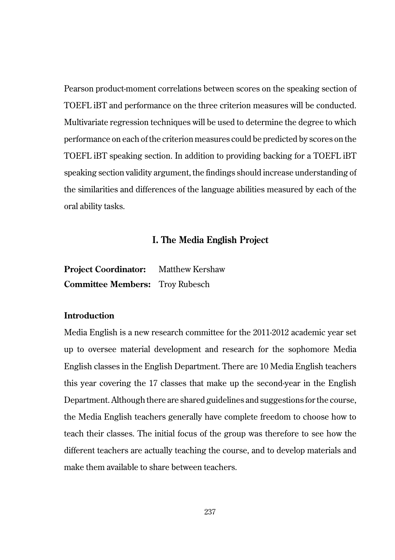Pearson product-moment correlations between scores on the speaking section of TOEFL iBT and performance on the three criterion measures will be conducted. Multivariate regression techniques will be used to determine the degree to which performance on each of the criterion measures could be predicted by scores on the TOEFL iBT speaking section. In addition to providing backing for a TOEFL iBT speaking section validity argument, the findings should increase understanding of the similarities and differences of the language abilities measured by each of the oral ability tasks.

# **I. The Media English Project**

| <b>Project Coordinator:</b>            | <b>Matthew Kershaw</b> |
|----------------------------------------|------------------------|
| <b>Committee Members:</b> Trov Rubesch |                        |

## **Introduction**

Media English is a new research committee for the 2011-2012 academic year set up to oversee material development and research for the sophomore Media English classes in the English Department. There are 10 Media English teachers this year covering the 17 classes that make up the second-year in the English Department. Although there are shared guidelines and suggestions for the course, the Media English teachers generally have complete freedom to choose how to teach their classes. The initial focus of the group was therefore to see how the different teachers are actually teaching the course, and to develop materials and make them available to share between teachers.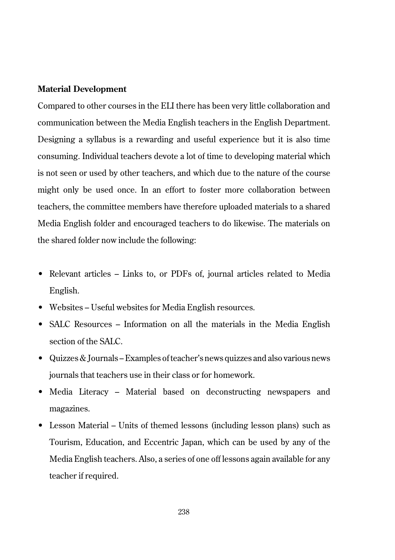### **Material Development**

Compared to other courses in the ELI there has been very little collaboration and communication between the Media English teachers in the English Department. Designing a syllabus is a rewarding and useful experience but it is also time consuming. Individual teachers devote a lot of time to developing material which is not seen or used by other teachers, and which due to the nature of the course might only be used once. In an effort to foster more collaboration between teachers, the committee members have therefore uploaded materials to a shared Media English folder and encouraged teachers to do likewise. The materials on the shared folder now include the following:

- Relevant articles Links to, or PDFs of, journal articles related to Media English.
- Websites Useful websites for Media English resources.
- SALC Resources Information on all the materials in the Media English section of the SALC.
- Quizzes & Journals Examples of teacher's news quizzes and also various news journals that teachers use in their class or for homework.
- Media Literacy Material based on deconstructing newspapers and magazines.
- Lesson Material Units of themed lessons (including lesson plans) such as Tourism, Education, and Eccentric Japan, which can be used by any of the Media English teachers. Also, a series of one off lessons again available for any teacher if required.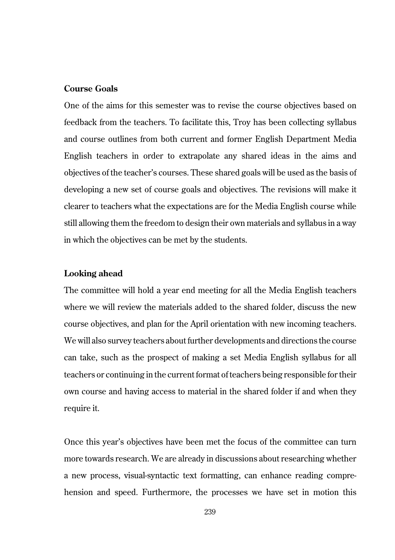# **Course Goals**

One of the aims for this semester was to revise the course objectives based on feedback from the teachers. To facilitate this, Troy has been collecting syllabus and course outlines from both current and former English Department Media English teachers in order to extrapolate any shared ideas in the aims and objectives of the teacher's courses. These shared goals will be used as the basis of developing a new set of course goals and objectives. The revisions will make it clearer to teachers what the expectations are for the Media English course while still allowing them the freedom to design their own materials and syllabus in a way in which the objectives can be met by the students.

## **Looking ahead**

The committee will hold a year end meeting for all the Media English teachers where we will review the materials added to the shared folder, discuss the new course objectives, and plan for the April orientation with new incoming teachers. We will also survey teachers about further developments and directions the course can take, such as the prospect of making a set Media English syllabus for all teachers or continuing in the current format of teachers being responsible for their own course and having access to material in the shared folder if and when they require it.

Once this year's objectives have been met the focus of the committee can turn more towards research. We are already in discussions about researching whether a new process, visual-syntactic text formatting, can enhance reading comprehension and speed. Furthermore, the processes we have set in motion this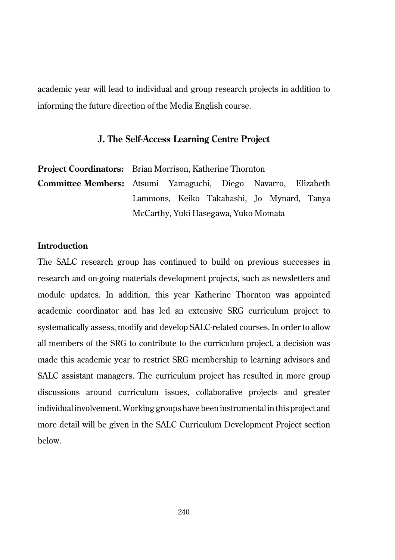academic year will lead to individual and group research projects in addition to informing the future direction of the Media English course.

## **J. The Self-Access Learning Centre Project**

|                                                                      | <b>Project Coordinators:</b> Brian Morrison, Katherine Thornton |  |  |  |  |  |  |  |
|----------------------------------------------------------------------|-----------------------------------------------------------------|--|--|--|--|--|--|--|
| <b>Committee Members:</b> Atsumi Yamaguchi, Diego Navarro, Elizabeth |                                                                 |  |  |  |  |  |  |  |
|                                                                      | Lammons, Keiko Takahashi, Jo Mynard, Tanya                      |  |  |  |  |  |  |  |
|                                                                      | McCarthy, Yuki Hasegawa, Yuko Momata                            |  |  |  |  |  |  |  |

## **Introduction**

The SALC research group has continued to build on previous successes in research and on-going materials development projects, such as newsletters and module updates. In addition, this year Katherine Thornton was appointed academic coordinator and has led an extensive SRG curriculum project to systematically assess, modify and develop SALC-related courses. In order to allow all members of the SRG to contribute to the curriculum project, a decision was made this academic year to restrict SRG membership to learning advisors and SALC assistant managers. The curriculum project has resulted in more group discussions around curriculum issues, collaborative projects and greater individual involvement. Working groups have been instrumental in this project and more detail will be given in the SALC Curriculum Development Project section below.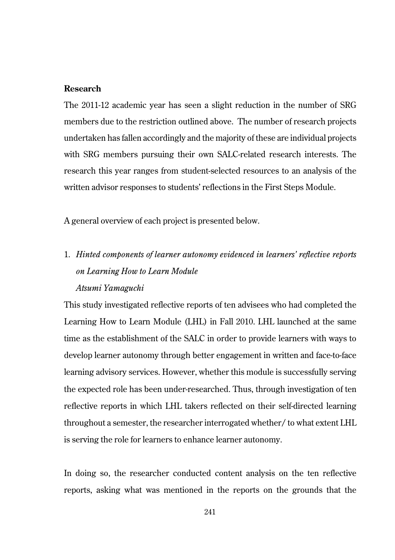# **Research**

The 2011-12 academic year has seen a slight reduction in the number of SRG members due to the restriction outlined above. The number of research projects undertaken has fallen accordingly and the majority of these are individual projects with SRG members pursuing their own SALC-related research interests. The research this year ranges from student-selected resources to an analysis of the written advisor responses to students' reflections in the First Steps Module.

A general overview of each project is presented below.

1. *Hinted components of learner autonomy evidenced in learners' reflective reports on Learning How to Learn Module Atsumi Yamaguchi*

This study investigated reflective reports of ten advisees who had completed the Learning How to Learn Module (LHL) in Fall 2010. LHL launched at the same time as the establishment of the SALC in order to provide learners with ways to develop learner autonomy through better engagement in written and face-to-face learning advisory services. However, whether this module is successfully serving the expected role has been under-researched. Thus, through investigation of ten reflective reports in which LHL takers reflected on their self-directed learning throughout a semester, the researcher interrogated whether/ to what extent LHL is serving the role for learners to enhance learner autonomy.

In doing so, the researcher conducted content analysis on the ten reflective reports, asking what was mentioned in the reports on the grounds that the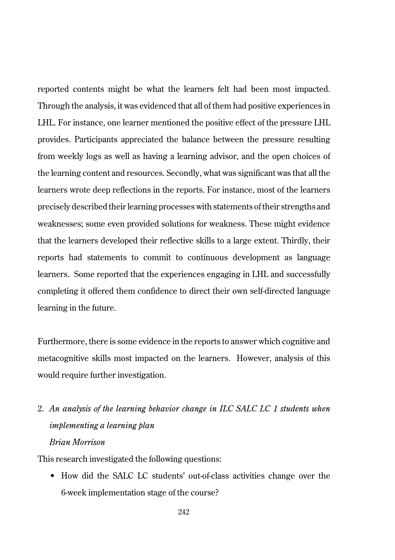reported contents might be what the learners felt had been most impacted. Through the analysis, it was evidenced that all of them had positive experiences in LHL. For instance, one learner mentioned the positive effect of the pressure LHL provides. Participants appreciated the balance between the pressure resulting from weekly logs as well as having a learning advisor, and the open choices of the learning content and resources. Secondly, what was significant was that all the learners wrote deep reflections in the reports. For instance, most of the learners precisely described their learning processes with statements of their strengths and weaknesses; some even provided solutions for weakness. These might evidence that the learners developed their reflective skills to a large extent. Thirdly, their reports had statements to commit to continuous development as language learners. Some reported that the experiences engaging in LHL and successfully completing it offered them confidence to direct their own self-directed language learning in the future.

Furthermore, there is some evidence in the reports to answer which cognitive and metacognitive skills most impacted on the learners. However, analysis of this would require further investigation.

2. *An analysis of the learning behavior change in ILC SALC LC 1 students when implementing a learning plan Brian Morrison*

This research investigated the following questions:

• How did the SALC LC students' out-of-class activities change over the 6-week implementation stage of the course?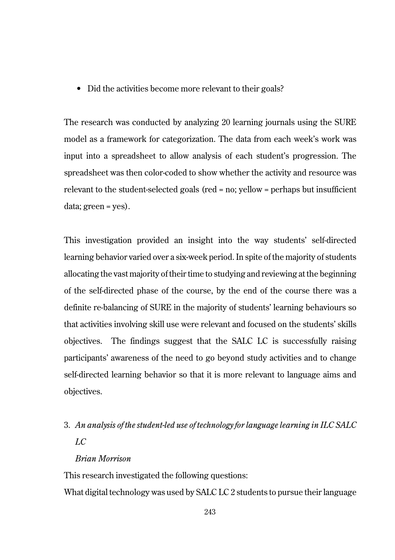• Did the activities become more relevant to their goals?

The research was conducted by analyzing 20 learning journals using the SURE model as a framework for categorization. The data from each week's work was input into a spreadsheet to allow analysis of each student's progression. The spreadsheet was then color-coded to show whether the activity and resource was relevant to the student-selected goals (red = no; yellow = perhaps but insufficient data; green = yes).

This investigation provided an insight into the way students' self-directed learning behavior varied over a six-week period. In spite of the majority of students allocating the vast majority of their time to studying and reviewing at the beginning of the self-directed phase of the course, by the end of the course there was a definite re-balancing of SURE in the majority of students' learning behaviours so that activities involving skill use were relevant and focused on the students' skills objectives. The findings suggest that the SALC LC is successfully raising participants' awareness of the need to go beyond study activities and to change self-directed learning behavior so that it is more relevant to language aims and objectives.

# 3. *An analysis of the student-led use of technology for language learning in ILC SALC LC*

# *Brian Morrison*

This research investigated the following questions:

What digital technology was used by SALC LC 2 students to pursue their language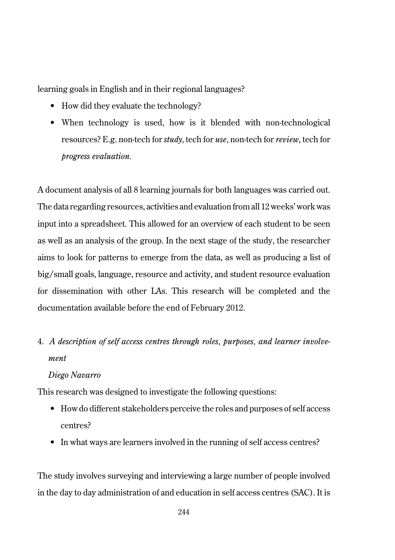learning goals in English and in their regional languages?

- How did they evaluate the technology?
- When technology is used, how is it blended with non-technological resources? E.g. non-tech for *study*, tech for *use*, non-tech for *review*, tech for *progress evaluation.*

A document analysis of all 8 learning journals for both languages was carried out. The data regarding resources, activities and evaluation from all 12 weeks' work was input into a spreadsheet. This allowed for an overview of each student to be seen as well as an analysis of the group. In the next stage of the study, the researcher aims to look for patterns to emerge from the data, as well as producing a list of big/small goals, language, resource and activity, and student resource evaluation for dissemination with other LAs. This research will be completed and the documentation available before the end of February 2012.

# 4. *A description of self access centres through roles, purposes, and learner involvement*

### *Diego Navarro*

This research was designed to investigate the following questions:

- How do different stakeholders perceive the roles and purposes of self access centres?
- In what ways are learners involved in the running of self access centres?

The study involves surveying and interviewing a large number of people involved in the day to day administration of and education in self access centres (SAC). It is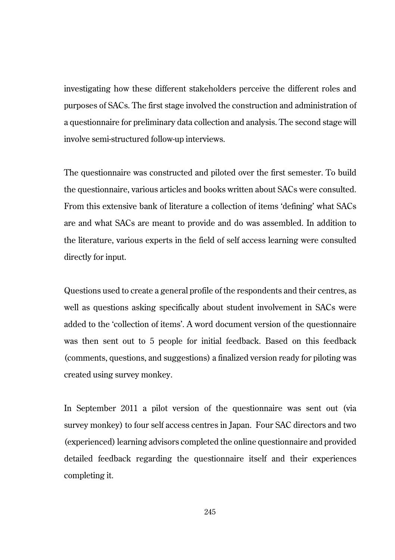investigating how these different stakeholders perceive the different roles and purposes of SACs. The first stage involved the construction and administration of a questionnaire for preliminary data collection and analysis. The second stage will involve semi-structured follow-up interviews.

The questionnaire was constructed and piloted over the first semester. To build the questionnaire, various articles and books written about SACs were consulted. From this extensive bank of literature a collection of items 'defining' what SACs are and what SACs are meant to provide and do was assembled. In addition to the literature, various experts in the field of self access learning were consulted directly for input.

Questions used to create a general profile of the respondents and their centres, as well as questions asking specifically about student involvement in SACs were added to the 'collection of items'. A word document version of the questionnaire was then sent out to 5 people for initial feedback. Based on this feedback (comments, questions, and suggestions) a finalized version ready for piloting was created using survey monkey.

In September 2011 a pilot version of the questionnaire was sent out (via survey monkey) to four self access centres in Japan. Four SAC directors and two (experienced) learning advisors completed the online questionnaire and provided detailed feedback regarding the questionnaire itself and their experiences completing it.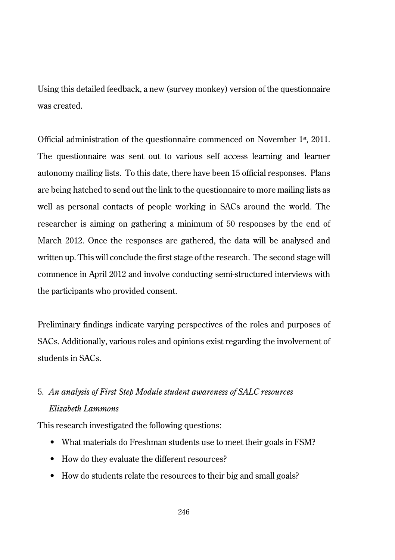Using this detailed feedback, a new (survey monkey) version of the questionnaire was created.

Official administration of the questionnaire commenced on November 1<sup>st</sup>, 2011. The questionnaire was sent out to various self access learning and learner autonomy mailing lists. To this date, there have been 15 official responses. Plans are being hatched to send out the link to the questionnaire to more mailing lists as well as personal contacts of people working in SACs around the world. The researcher is aiming on gathering a minimum of 50 responses by the end of March 2012. Once the responses are gathered, the data will be analysed and written up. This will conclude the first stage of the research. The second stage will commence in April 2012 and involve conducting semi-structured interviews with the participants who provided consent.

Preliminary findings indicate varying perspectives of the roles and purposes of SACs. Additionally, various roles and opinions exist regarding the involvement of students in SACs.

# 5. *An analysis of First Step Module student awareness of SALC resources Elizabeth Lammons*

This research investigated the following questions:

- What materials do Freshman students use to meet their goals in FSM?
- How do they evaluate the different resources?
- How do students relate the resources to their big and small goals?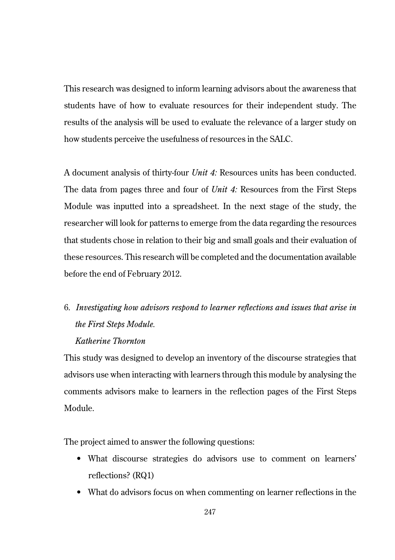This research was designed to inform learning advisors about the awareness that students have of how to evaluate resources for their independent study. The results of the analysis will be used to evaluate the relevance of a larger study on how students perceive the usefulness of resources in the SALC.

A document analysis of thirty-four *Unit 4:* Resources units has been conducted. The data from pages three and four of *Unit 4:* Resources from the First Steps Module was inputted into a spreadsheet. In the next stage of the study, the researcher will look for patterns to emerge from the data regarding the resources that students chose in relation to their big and small goals and their evaluation of these resources. This research will be completed and the documentation available before the end of February 2012.

# 6. *Investigating how advisors respond to learner reflections and issues that arise in the First Steps Module.*

## *Katherine Thornton*

This study was designed to develop an inventory of the discourse strategies that advisors use when interacting with learners through this module by analysing the comments advisors make to learners in the reflection pages of the First Steps Module.

The project aimed to answer the following questions:

- What discourse strategies do advisors use to comment on learners' reflections? (RQ1)
- What do advisors focus on when commenting on learner reflections in the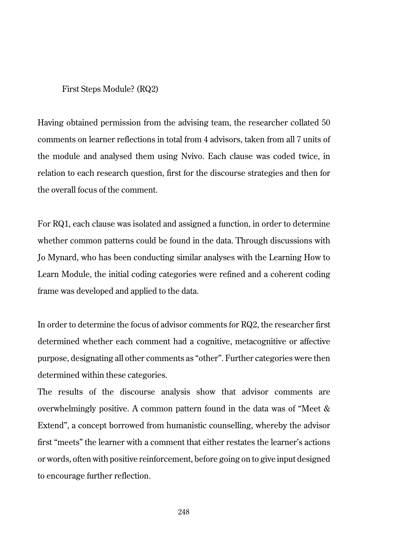#### First Steps Module? (RQ2)

Having obtained permission from the advising team, the researcher collated 50 comments on learner reflections in total from 4 advisors, taken from all 7 units of the module and analysed them using Nvivo. Each clause was coded twice, in relation to each research question, first for the discourse strategies and then for the overall focus of the comment.

For RQ1, each clause was isolated and assigned a function, in order to determine whether common patterns could be found in the data. Through discussions with Jo Mynard, who has been conducting similar analyses with the Learning How to Learn Module, the initial coding categories were refined and a coherent coding frame was developed and applied to the data.

In order to determine the focus of advisor comments for RQ2, the researcher first determined whether each comment had a cognitive, metacognitive or affective purpose, designating all other comments as "other". Further categories were then determined within these categories.

The results of the discourse analysis show that advisor comments are overwhelmingly positive. A common pattern found in the data was of "Meet & Extend", a concept borrowed from humanistic counselling, whereby the advisor first "meets" the learner with a comment that either restates the learner's actions or words, often with positive reinforcement, before going on to give input designed to encourage further reflection.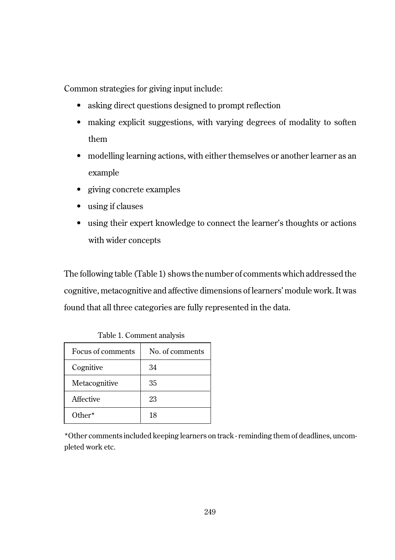Common strategies for giving input include:

- asking direct questions designed to prompt reflection
- making explicit suggestions, with varying degrees of modality to soften them
- modelling learning actions, with either themselves or another learner as an example
- giving concrete examples
- using if clauses
- using their expert knowledge to connect the learner's thoughts or actions with wider concepts

The following table (Table 1) shows the number of comments which addressed the cognitive, metacognitive and affective dimensions of learners' module work. It was found that all three categories are fully represented in the data.

| Focus of comments | No. of comments |  |  |  |  |
|-------------------|-----------------|--|--|--|--|
| Cognitive         | 34              |  |  |  |  |
| Metacognitive     | 35              |  |  |  |  |
| Affective         | 23              |  |  |  |  |
| $Other*$          | 18              |  |  |  |  |

Table 1. Comment analysis

\*Other comments included keeping learners on track - reminding them of deadlines, uncompleted work etc.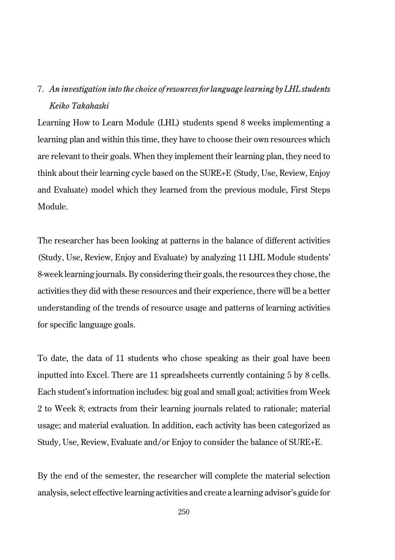# 7. *An investigation into the choice of resources for language learning by LHL students Keiko Takahashi*

Learning How to Learn Module (LHL) students spend 8 weeks implementing a learning plan and within this time, they have to choose their own resources which are relevant to their goals. When they implement their learning plan, they need to think about their learning cycle based on the SURE+E (Study, Use, Review, Enjoy and Evaluate) model which they learned from the previous module, First Steps Module.

The researcher has been looking at patterns in the balance of different activities (Study, Use, Review, Enjoy and Evaluate) by analyzing 11 LHL Module students' 8-week learning journals. By considering their goals, the resources they chose, the activities they did with these resources and their experience, there will be a better understanding of the trends of resource usage and patterns of learning activities for specific language goals.

To date, the data of 11 students who chose speaking as their goal have been inputted into Excel. There are 11 spreadsheets currently containing 5 by 8 cells. Each student's information includes: big goal and small goal; activities from Week 2 to Week 8; extracts from their learning journals related to rationale; material usage; and material evaluation. In addition, each activity has been categorized as Study, Use, Review, Evaluate and/or Enjoy to consider the balance of SURE+E.

By the end of the semester, the researcher will complete the material selection analysis, select effective learning activities and create a learning advisor's guide for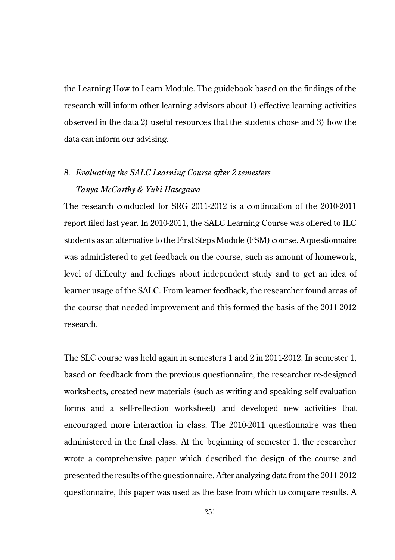the Learning How to Learn Module. The guidebook based on the findings of the research will inform other learning advisors about 1) effective learning activities observed in the data 2) useful resources that the students chose and 3) how the data can inform our advising.

# 8. *Evaluating the SALC Learning Course after 2 semesters Tanya McCarthy & Yuki Hasegawa*

The research conducted for SRG 2011-2012 is a continuation of the 2010-2011 report filed last year. In 2010-2011, the SALC Learning Course was offered to ILC students as an alternative to the First Steps Module (FSM) course. A questionnaire was administered to get feedback on the course, such as amount of homework, level of difficulty and feelings about independent study and to get an idea of learner usage of the SALC. From learner feedback, the researcher found areas of the course that needed improvement and this formed the basis of the 2011-2012 research.

The SLC course was held again in semesters 1 and 2 in 2011-2012. In semester 1, based on feedback from the previous questionnaire, the researcher re-designed worksheets, created new materials (such as writing and speaking self-evaluation forms and a self-reflection worksheet) and developed new activities that encouraged more interaction in class. The 2010-2011 questionnaire was then administered in the final class. At the beginning of semester 1, the researcher wrote a comprehensive paper which described the design of the course and presented the results of the questionnaire. After analyzing data from the 2011-2012 questionnaire, this paper was used as the base from which to compare results. A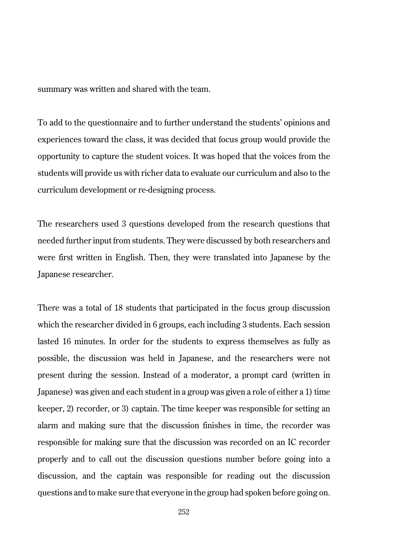summary was written and shared with the team.

To add to the questionnaire and to further understand the students' opinions and experiences toward the class, it was decided that focus group would provide the opportunity to capture the student voices. It was hoped that the voices from the students will provide us with richer data to evaluate our curriculum and also to the curriculum development or re-designing process.

The researchers used 3 questions developed from the research questions that needed further input from students. They were discussed by both researchers and were first written in English. Then, they were translated into Japanese by the Japanese researcher.

There was a total of 18 students that participated in the focus group discussion which the researcher divided in 6 groups, each including 3 students. Each session lasted 16 minutes. In order for the students to express themselves as fully as possible, the discussion was held in Japanese, and the researchers were not present during the session. Instead of a moderator, a prompt card (written in Japanese) was given and each student in a group was given a role of either a 1) time keeper, 2) recorder, or 3) captain. The time keeper was responsible for setting an alarm and making sure that the discussion finishes in time, the recorder was responsible for making sure that the discussion was recorded on an IC recorder properly and to call out the discussion questions number before going into a discussion, and the captain was responsible for reading out the discussion questions and to make sure that everyone in the group had spoken before going on.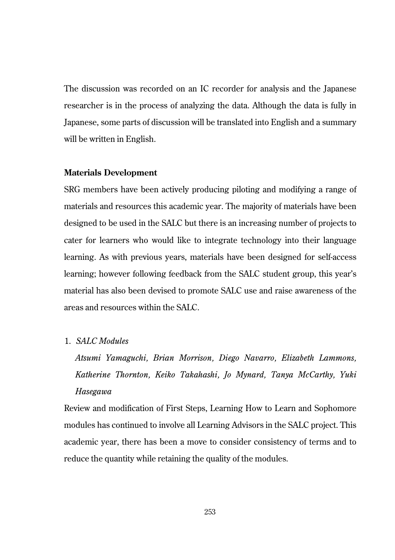The discussion was recorded on an IC recorder for analysis and the Japanese researcher is in the process of analyzing the data. Although the data is fully in Japanese, some parts of discussion will be translated into English and a summary will be written in English.

### **Materials Development**

SRG members have been actively producing piloting and modifying a range of materials and resources this academic year. The majority of materials have been designed to be used in the SALC but there is an increasing number of projects to cater for learners who would like to integrate technology into their language learning. As with previous years, materials have been designed for self-access learning; however following feedback from the SALC student group, this year's material has also been devised to promote SALC use and raise awareness of the areas and resources within the SALC.

# 1. *SALC Modules*

*Atsumi Yamaguchi, Brian Morrison, Diego Navarro, Elizabeth Lammons, Katherine Thornton, Keiko Takahashi, Jo Mynard, Tanya McCarthy, Yuki Hasegawa*

Review and modification of First Steps, Learning How to Learn and Sophomore modules has continued to involve all Learning Advisors in the SALC project. This academic year, there has been a move to consider consistency of terms and to reduce the quantity while retaining the quality of the modules.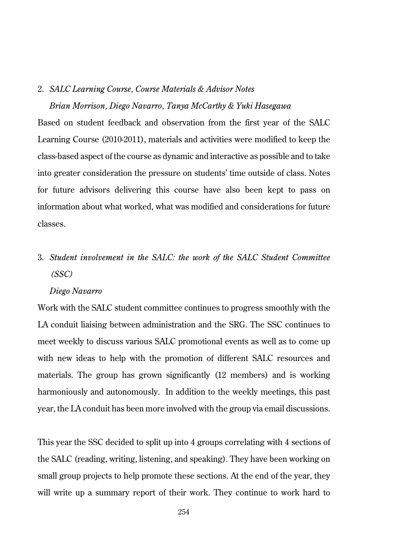#### 2. *SALC Learning Course, Course Materials & Advisor Notes*

#### *Brian Morrison, Diego Navarro, Tanya McCarthy & Yuki Hasegawa*

Based on student feedback and observation from the first year of the SALC Learning Course (2010-2011), materials and activities were modified to keep the class-based aspect of the course as dynamic and interactive as possible and to take into greater consideration the pressure on students' time outside of class. Notes for future advisors delivering this course have also been kept to pass on information about what worked, what was modified and considerations for future classes.

# 3. *Student involvement in the SALC: the work of the SALC Student Committee (SSC)*

### *Diego Navarro*

Work with the SALC student committee continues to progress smoothly with the LA conduit liaising between administration and the SRG. The SSC continues to meet weekly to discuss various SALC promotional events as well as to come up with new ideas to help with the promotion of different SALC resources and materials. The group has grown significantly (12 members) and is working harmoniously and autonomously. In addition to the weekly meetings, this past year, the LA conduit has been more involved with the group via email discussions.

This year the SSC decided to split up into 4 groups correlating with 4 sections of the SALC (reading, writing, listening, and speaking). They have been working on small group projects to help promote these sections. At the end of the year, they will write up a summary report of their work. They continue to work hard to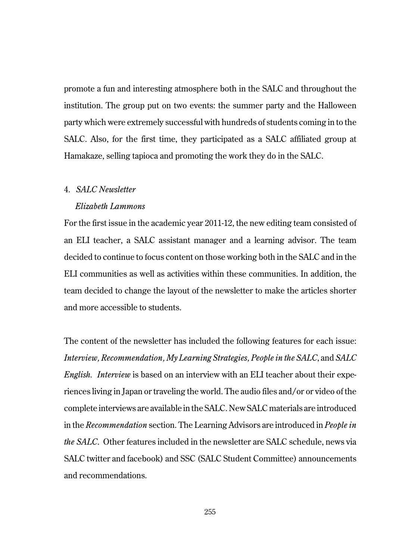promote a fun and interesting atmosphere both in the SALC and throughout the institution. The group put on two events: the summer party and the Halloween party which were extremely successful with hundreds of students coming in to the SALC. Also, for the first time, they participated as a SALC affiliated group at Hamakaze, selling tapioca and promoting the work they do in the SALC.

## 4. *SALC Newsletter*

### *Elizabeth Lammons*

For the first issue in the academic year 2011-12, the new editing team consisted of an ELI teacher, a SALC assistant manager and a learning advisor. The team decided to continue to focus content on those working both in the SALC and in the ELI communities as well as activities within these communities. In addition, the team decided to change the layout of the newsletter to make the articles shorter and more accessible to students.

The content of the newsletter has included the following features for each issue: *Interview, Recommendation, My Learning Strategies, People in the SALC*, and *SALC English. Interview* is based on an interview with an ELI teacher about their experiences living in Japan or traveling the world. The audio files and/or or video of the complete interviews are available in the SALC. New SALC materials are introduced in the *Recommendation* section. The Learning Advisors are introduced in *People in the SALC*. Other features included in the newsletter are SALC schedule, news via SALC twitter and facebook) and SSC (SALC Student Committee) announcements and recommendations.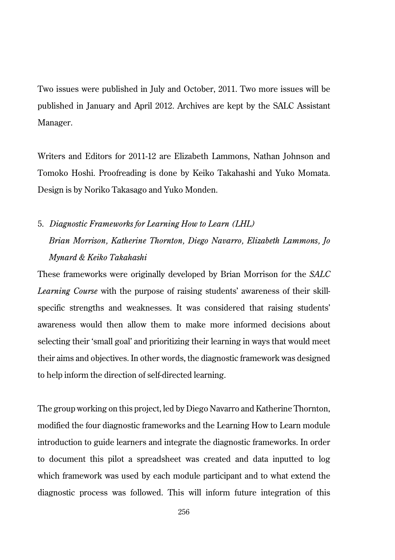Two issues were published in July and October, 2011. Two more issues will be published in January and April 2012. Archives are kept by the SALC Assistant Manager.

Writers and Editors for 2011-12 are Elizabeth Lammons, Nathan Johnson and Tomoko Hoshi. Proofreading is done by Keiko Takahashi and Yuko Momata. Design is by Noriko Takasago and Yuko Monden.

5. *Diagnostic Frameworks for Learning How to Learn (LHL) Brian Morrison, Katherine Thornton, Diego Navarro, Elizabeth Lammons, Jo Mynard & Keiko Takahashi*

These frameworks were originally developed by Brian Morrison for the *SALC Learning Course* with the purpose of raising students' awareness of their skillspecific strengths and weaknesses. It was considered that raising students' awareness would then allow them to make more informed decisions about selecting their 'small goal' and prioritizing their learning in ways that would meet their aims and objectives. In other words, the diagnostic framework was designed to help inform the direction of self-directed learning.

The group working on this project, led by Diego Navarro and Katherine Thornton, modified the four diagnostic frameworks and the Learning How to Learn module introduction to guide learners and integrate the diagnostic frameworks. In order to document this pilot a spreadsheet was created and data inputted to log which framework was used by each module participant and to what extend the diagnostic process was followed. This will inform future integration of this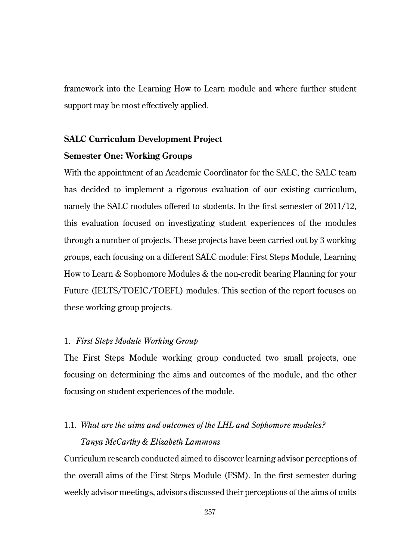framework into the Learning How to Learn module and where further student support may be most effectively applied.

# **SALC Curriculum Development Project**

## **Semester One: Working Groups**

With the appointment of an Academic Coordinator for the SALC, the SALC team has decided to implement a rigorous evaluation of our existing curriculum, namely the SALC modules offered to students. In the first semester of 2011/12, this evaluation focused on investigating student experiences of the modules through a number of projects. These projects have been carried out by 3 working groups, each focusing on a different SALC module: First Steps Module, Learning How to Learn & Sophomore Modules & the non-credit bearing Planning for your Future (IELTS/TOEIC/TOEFL) modules. This section of the report focuses on these working group projects.

## 1. *First Steps Module Working Group*

The First Steps Module working group conducted two small projects, one focusing on determining the aims and outcomes of the module, and the other focusing on student experiences of the module.

# 1.1. *What are the aims and outcomes of the LHL and Sophomore modules?*

# *Tanya McCarthy & Elizabeth Lammons*

Curriculum research conducted aimed to discover learning advisor perceptions of the overall aims of the First Steps Module (FSM). In the first semester during weekly advisor meetings, advisors discussed their perceptions of the aims of units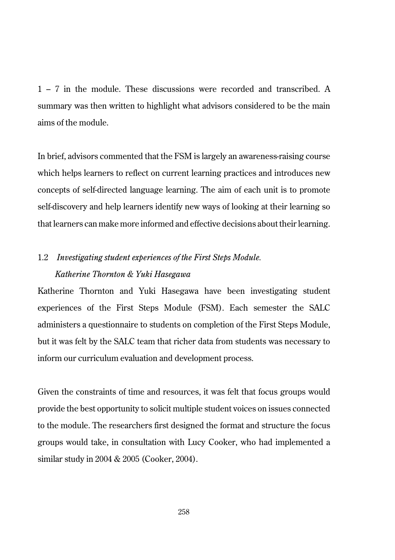1 – 7 in the module. These discussions were recorded and transcribed. A summary was then written to highlight what advisors considered to be the main aims of the module.

In brief, advisors commented that the FSM is largely an awareness-raising course which helps learners to reflect on current learning practices and introduces new concepts of self-directed language learning. The aim of each unit is to promote self-discovery and help learners identify new ways of looking at their learning so that learners can make more informed and effective decisions about their learning.

# 1.2 *Investigating student experiences of the First Steps Module. Katherine Thornton & Yuki Hasegawa*

Katherine Thornton and Yuki Hasegawa have been investigating student experiences of the First Steps Module (FSM). Each semester the SALC administers a questionnaire to students on completion of the First Steps Module, but it was felt by the SALC team that richer data from students was necessary to inform our curriculum evaluation and development process.

Given the constraints of time and resources, it was felt that focus groups would provide the best opportunity to solicit multiple student voices on issues connected to the module. The researchers first designed the format and structure the focus groups would take, in consultation with Lucy Cooker, who had implemented a similar study in 2004 & 2005 (Cooker, 2004).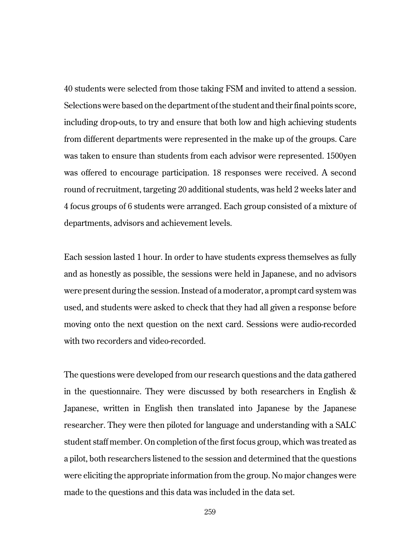40 students were selected from those taking FSM and invited to attend a session. Selections were based on the department of the student and their final points score, including drop-outs, to try and ensure that both low and high achieving students from different departments were represented in the make up of the groups. Care was taken to ensure than students from each advisor were represented. 1500yen was offered to encourage participation. 18 responses were received. A second round of recruitment, targeting 20 additional students, was held 2 weeks later and 4 focus groups of 6 students were arranged. Each group consisted of a mixture of departments, advisors and achievement levels.

Each session lasted 1 hour. In order to have students express themselves as fully and as honestly as possible, the sessions were held in Japanese, and no advisors were present during the session. Instead of a moderator, a prompt card system was used, and students were asked to check that they had all given a response before moving onto the next question on the next card. Sessions were audio-recorded with two recorders and video-recorded.

The questions were developed from our research questions and the data gathered in the questionnaire. They were discussed by both researchers in English  $\&$ Japanese, written in English then translated into Japanese by the Japanese researcher. They were then piloted for language and understanding with a SALC student staff member. On completion of the first focus group, which was treated as a pilot, both researchers listened to the session and determined that the questions were eliciting the appropriate information from the group. No major changes were made to the questions and this data was included in the data set.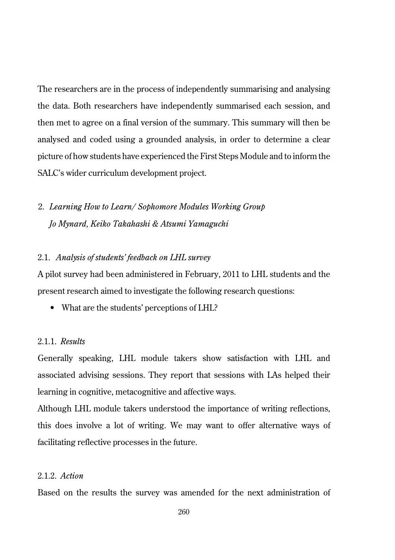The researchers are in the process of independently summarising and analysing the data. Both researchers have independently summarised each session, and then met to agree on a final version of the summary. This summary will then be analysed and coded using a grounded analysis, in order to determine a clear picture of how students have experienced the First Steps Module and to inform the SALC's wider curriculum development project.

# 2. *Learning How to Learn/ Sophomore Modules Working Group Jo Mynard, Keiko Takahashi & Atsumi Yamaguchi*

#### 2.1. *Analysis of students' feedback on LHL survey*

A pilot survey had been administered in February, 2011 to LHL students and the present research aimed to investigate the following research questions:

• What are the students' perceptions of LHL?

#### 2.1.1. *Results*

Generally speaking, LHL module takers show satisfaction with LHL and associated advising sessions. They report that sessions with LAs helped their learning in cognitive, metacognitive and affective ways.

Although LHL module takers understood the importance of writing reflections, this does involve a lot of writing. We may want to offer alternative ways of facilitating reflective processes in the future.

## 2.1.2. *Action*

Based on the results the survey was amended for the next administration of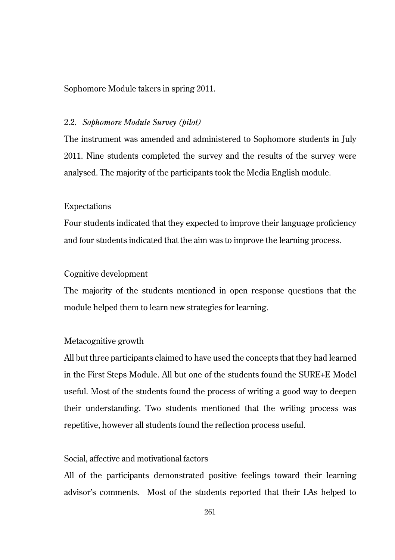Sophomore Module takers in spring 2011.

### 2.2. *Sophomore Module Survey (pilot)*

The instrument was amended and administered to Sophomore students in July 2011. Nine students completed the survey and the results of the survey were analysed. The majority of the participants took the Media English module.

#### Expectations

Four students indicated that they expected to improve their language proficiency and four students indicated that the aim was to improve the learning process.

#### Cognitive development

The majority of the students mentioned in open response questions that the module helped them to learn new strategies for learning.

### Metacognitive growth

All but three participants claimed to have used the concepts that they had learned in the First Steps Module. All but one of the students found the SURE+E Model useful. Most of the students found the process of writing a good way to deepen their understanding. Two students mentioned that the writing process was repetitive, however all students found the reflection process useful.

## Social, affective and motivational factors

All of the participants demonstrated positive feelings toward their learning advisor's comments. Most of the students reported that their LAs helped to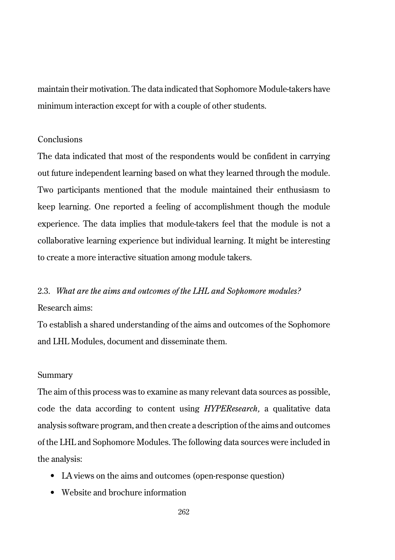maintain their motivation. The data indicated that Sophomore Module-takers have minimum interaction except for with a couple of other students.

### Conclusions

The data indicated that most of the respondents would be confident in carrying out future independent learning based on what they learned through the module. Two participants mentioned that the module maintained their enthusiasm to keep learning. One reported a feeling of accomplishment though the module experience. The data implies that module-takers feel that the module is not a collaborative learning experience but individual learning. It might be interesting to create a more interactive situation among module takers.

# 2.3. *What are the aims and outcomes of the LHL and Sophomore modules?* Research aims:

To establish a shared understanding of the aims and outcomes of the Sophomore and LHL Modules, document and disseminate them.

#### Summary

The aim of this process was to examine as many relevant data sources as possible, code the data according to content using *HYPEResearch,* a qualitative data analysis software program, and then create a description of the aims and outcomes of the LHL and Sophomore Modules. The following data sources were included in the analysis:

- LA views on the aims and outcomes (open-response question)
- Website and brochure information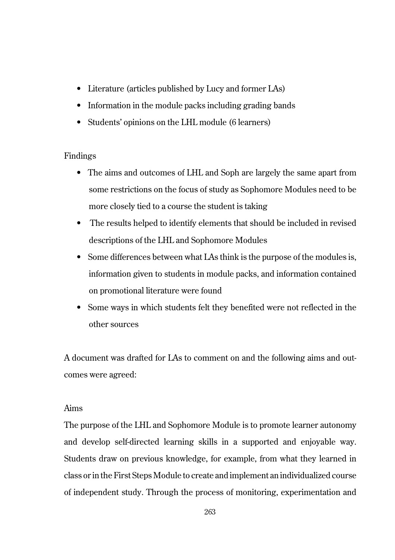- Literature (articles published by Lucy and former LAs)
- Information in the module packs including grading bands
- Students' opinions on the LHL module (6 learners)

# Findings

- The aims and outcomes of LHL and Soph are largely the same apart from some restrictions on the focus of study as Sophomore Modules need to be more closely tied to a course the student is taking
- The results helped to identify elements that should be included in revised descriptions of the LHL and Sophomore Modules
- Some differences between what LAs think is the purpose of the modules is, information given to students in module packs, and information contained on promotional literature were found
- Some ways in which students felt they benefited were not reflected in the other sources

A document was drafted for LAs to comment on and the following aims and outcomes were agreed:

# Aims

The purpose of the LHL and Sophomore Module is to promote learner autonomy and develop self-directed learning skills in a supported and enjoyable way. Students draw on previous knowledge, for example, from what they learned in class or in the First Steps Module to create and implement an individualized course of independent study. Through the process of monitoring, experimentation and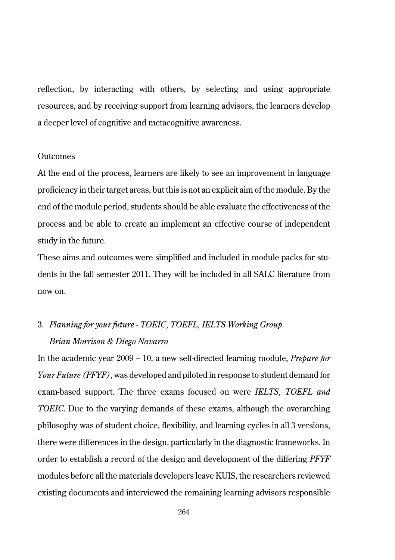reflection, by interacting with others, by selecting and using appropriate resources, and by receiving support from learning advisors, the learners develop a deeper level of cognitive and metacognitive awareness.

#### **Outcomes**

At the end of the process, learners are likely to see an improvement in language proficiency in their target areas, but this is not an explicit aim of the module. By the end of the module period, students should be able evaluate the effectiveness of the process and be able to create an implement an effective course of independent study in the future.

These aims and outcomes were simplified and included in module packs for students in the fall semester 2011. They will be included in all SALC literature from now on.

# 3. *Planning for your future - TOEIC, TOEFL, IELTS Working Group Brian Morrison & Diego Navarro*

In the academic year 2009 – 10, a new self-directed learning module, *Prepare for Your Future (PFYF)*, was developed and piloted in response to student demand for exam-based support. The three exams focused on were *IELTS, TOEFL and TOEIC*. Due to the varying demands of these exams, although the overarching philosophy was of student choice, flexibility, and learning cycles in all 3 versions, there were differences in the design, particularly in the diagnostic frameworks. In order to establish a record of the design and development of the differing *PFYF* modules before all the materials developers leave KUIS, the researchers reviewed existing documents and interviewed the remaining learning advisors responsible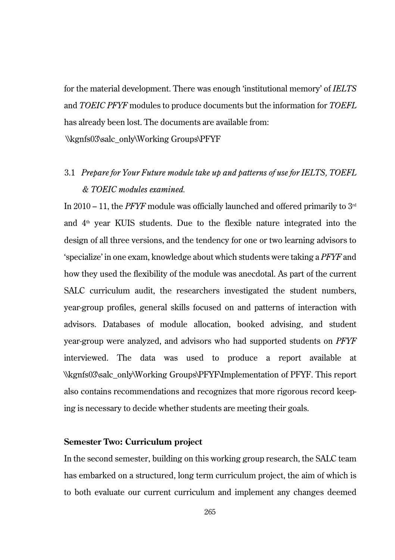for the material development. There was enough 'institutional memory' of *IELTS* and *TOEIC PFYF* modules to produce documents but the information for *TOEFL* has already been lost. The documents are available from:

\\kgnfs03\salc\_only\Working Groups\PFYF

# 3.1 *Prepare for Your Future module take up and patterns of use for IELTS, TOEFL & TOEIC modules examined.*

In 2010 – 11, the *PFYF* module was officially launched and offered primarily to  $3<sup>rd</sup>$ and  $4<sup>th</sup>$  year KUIS students. Due to the flexible nature integrated into the design of all three versions, and the tendency for one or two learning advisors to 'specialize' in one exam, knowledge about which students were taking a *PFYF* and how they used the flexibility of the module was anecdotal. As part of the current SALC curriculum audit, the researchers investigated the student numbers, year-group profiles, general skills focused on and patterns of interaction with advisors. Databases of module allocation, booked advising, and student year-group were analyzed, and advisors who had supported students on *PFYF* interviewed. The data was used to produce a report available at \\kgnfs03\salc\_only\Working Groups\PFYF\Implementation of PFYF. This report also contains recommendations and recognizes that more rigorous record keeping is necessary to decide whether students are meeting their goals.

## **Semester Two: Curriculum project**

In the second semester, building on this working group research, the SALC team has embarked on a structured, long term curriculum project, the aim of which is to both evaluate our current curriculum and implement any changes deemed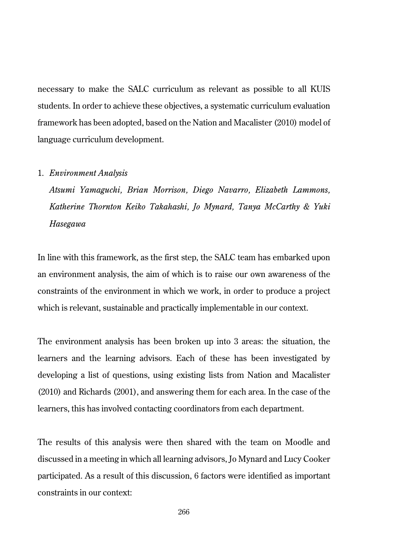necessary to make the SALC curriculum as relevant as possible to all KUIS students. In order to achieve these objectives, a systematic curriculum evaluation framework has been adopted, based on the Nation and Macalister (2010) model of language curriculum development.

#### 1. *Environment Analysis*

*Atsumi Yamaguchi, Brian Morrison, Diego Navarro, Elizabeth Lammons, Katherine Thornton Keiko Takahashi, Jo Mynard, Tanya McCarthy & Yuki Hasegawa*

In line with this framework, as the first step, the SALC team has embarked upon an environment analysis, the aim of which is to raise our own awareness of the constraints of the environment in which we work, in order to produce a project which is relevant, sustainable and practically implementable in our context.

The environment analysis has been broken up into 3 areas: the situation, the learners and the learning advisors. Each of these has been investigated by developing a list of questions, using existing lists from Nation and Macalister (2010) and Richards (2001), and answering them for each area. In the case of the learners, this has involved contacting coordinators from each department.

The results of this analysis were then shared with the team on Moodle and discussed in a meeting in which all learning advisors, Jo Mynard and Lucy Cooker participated. As a result of this discussion, 6 factors were identified as important constraints in our context: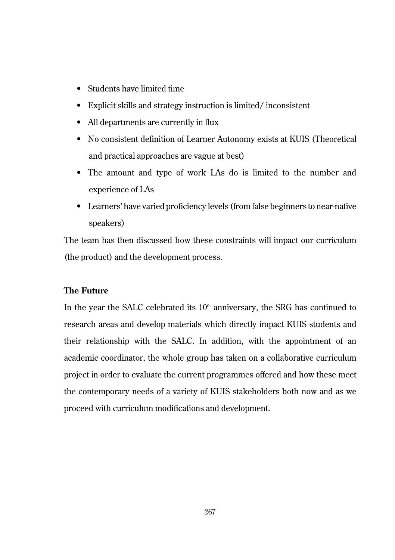- Students have limited time
- Explicit skills and strategy instruction is limited/ inconsistent
- All departments are currently in flux
- No consistent definition of Learner Autonomy exists at KUIS (Theoretical and practical approaches are vague at best)
- The amount and type of work LAs do is limited to the number and experience of LAs
- Learners' have varied proficiency levels (from false beginners to near-native speakers)

The team has then discussed how these constraints will impact our curriculum (the product) and the development process.

## **The Future**

In the year the SALC celebrated its  $10<sup>th</sup>$  anniversary, the SRG has continued to research areas and develop materials which directly impact KUIS students and their relationship with the SALC. In addition, with the appointment of an academic coordinator, the whole group has taken on a collaborative curriculum project in order to evaluate the current programmes offered and how these meet the contemporary needs of a variety of KUIS stakeholders both now and as we proceed with curriculum modifications and development.